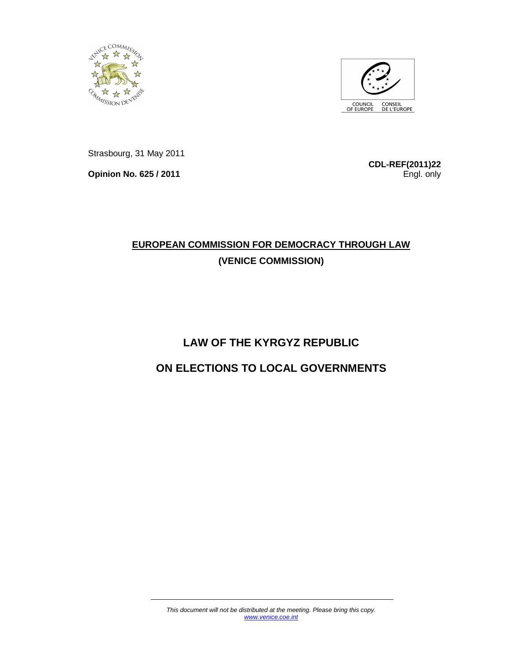



Strasbourg, 31 May 2011

**Opinion No. 625 / 2011**

**CDL-REF(2011)22** Engl. only

## **EUROPEAN COMMISSION FOR DEMOCRACY THROUGH LAW (VENICE COMMISSION)**

# **LAW OF THE KYRGYZ REPUBLIC ON ELECTIONS TO LOCAL GOVERNMENTS**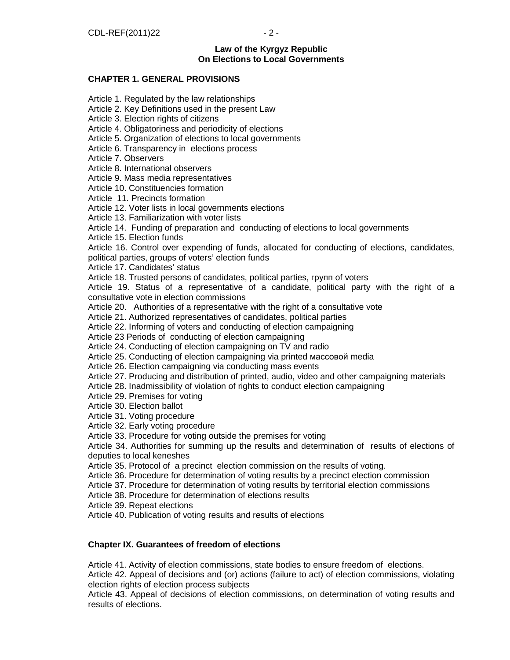## **Law of the Kyrgyz Republic On Elections to Local Governments**

## **CHAPTER 1. GENERAL PROVISIONS**

Article 1. Regulated by the law relationships

Article 2. Key Definitions used in the present Law

Article 3. Election rights of citizens

Article 4. Obligatoriness and periodicity of elections

Article 5. Organization of elections to local governments

Article 6. Transparency in elections process

Article 7. Observers

Article 8. International observers

Article 9. Mass media representatives

Article 10. Constituencies formation

Article 11. Precincts formation

Article 12. Voter lists in local governments elections

Article 13. Familiarization with voter lists

Article 14. Funding of preparation and conducting of elections to local governments

Article 15. Election funds

Article 16. Control over expending of funds, allocated for conducting of elections, candidates, political parties, groups of voters' election funds

Article 17. Candidates' status

Article 18. Trusted persons of candidates, political parties, групп of voters

Article 19. Status of a representative of a candidate, political party with the right of a consultative vote in election commissions

Article 20. Authorities of a representative with the right of a consultative vote

Article 21. Authorized representatives of candidates, political parties

Article 22. Informing of voters and conducting of election campaigning

Article 23 Periods of conducting of election campaigning

Article 24. Conducting of election campaigning on TV and radio

Article 25. Conducting of election campaigning via printed массовой media

Article 26. Election campaigning via conducting mass events

Article 27. Producing and distribution of printed, audio, video and other campaigning materials

Article 28. Inadmissibility of violation of rights to conduct election campaigning

Article 29. Premises for voting

Article 30. Election ballot

Article 31. Voting procedure

Article 32. Early voting procedure

Article 33. Procedure for voting outside the premises for voting

Article 34. Authorities for summing up the results and determination of results of elections of deputies to local keneshes

Article 35. Protocol of a precinct election commission on the results of voting.

Article 36. Procedure for determination of voting results by a precinct election commission

Article 37. Procedure for determination of voting results by territorial election commissions

Article 38. Procedure for determination of elections results

Article 39. Repeat elections

Article 40. Publication of voting results and results of elections

**Chapter IX. Guarantees of freedom of elections**

Article 41. Activity of election commissions, state bodies to ensure freedom of elections.

Article 42. Appeal of decisions and (or) actions (failure to act) of election commissions, violating election rights of election process subjects

Article 43. Appeal of decisions of election commissions, on determination of voting results and results of elections.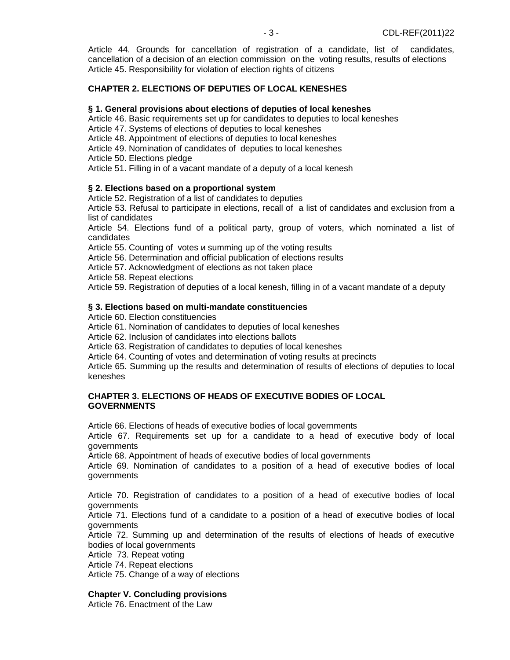Article 44. Grounds for cancellation of registration of a candidate, list of candidates, cancellation of a decision of an election commission on the voting results, results of elections Article 45. Responsibility for violation of election rights of citizens

## **CHAPTER 2. ELECTIONS OF DEPUTIES OF LOCAL KENESHES**

#### **§ 1. General provisions about elections of deputies of local keneshes**

Article 46. Basic requirements set up for candidates to deputies to local keneshes

Article 47. Systems of elections of deputies to local keneshes

Article 48. Appointment of elections of deputies to local keneshes

Article 49. Nomination of candidates of deputies to local keneshes

Article 50. Elections pledge

Article 51. Filling in of a vacant mandate of a deputy of a local kenesh

#### **§ 2. Elections based on a proportional system**

Article 52. Registration of a list of candidates to deputies

Article 53. Refusal to participate in elections, recall of a list of candidates and exclusion from a list of candidates

Article 54. Elections fund of a political party, group of voters, which nominated a list of candidates

Article 55. Counting of votes и summing up of the voting results

Article 56. Determination and official publication of elections results

Article 57. Acknowledgment of elections as not taken place

Article 58. Repeat elections

Article 59. Registration of deputies of a local kenesh, filling in of a vacant mandate of a deputy

#### **§ 3. Elections based on multi-mandate constituencies**

Article 60. Election constituencies

Article 61. Nomination of candidates to deputies of local keneshes

Article 62. Inclusion of candidates into elections ballots

Article 63. Registration of candidates to deputies of local keneshes

Article 64. Counting of votes and determination of voting results at precincts

Article 65. Summing up the results and determination of results of elections of deputies to local keneshes

#### **CHAPTER 3. ELECTIONS OF HEADS OF EXECUTIVE BODIES OF LOCAL GOVERNMENTS**

Article 66. Elections of heads of executive bodies of local governments

Article 67. Requirements set up for a candidate to a head of executive body of local governments

Article 68. Appointment of heads of executive bodies of local governments

Article 69. Nomination of candidates to a position of a head of executive bodies of local governments

Article 70. Registration of candidates to a position of a head of executive bodies of local governments

Article 71. Elections fund of a candidate to a position of a head of executive bodies of local governments

Article 72. Summing up and determination of the results of elections of heads of executive bodies of local governments

Article 73. Repeat voting

Article 74. Repeat elections

Article 75. Change of a way of elections

#### **Chapter V. Concluding provisions**

Article 76. Enactment of the Law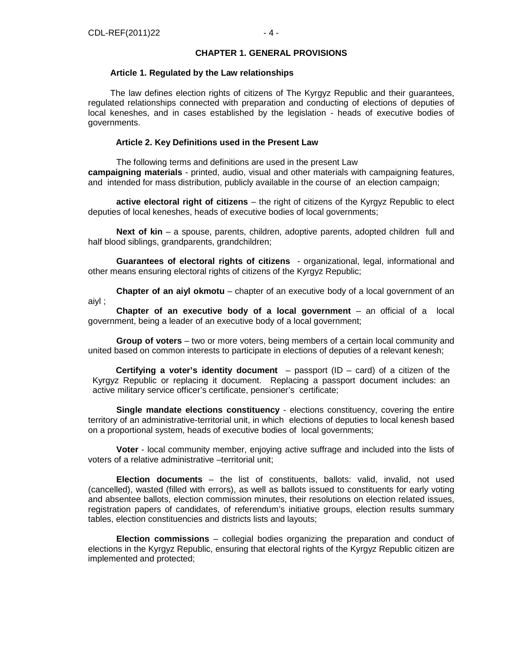#### **CHAPTER 1. GENERAL PROVISIONS**

#### **Article 1. Regulated by the Law relationships**

The law defines election rights of citizens of The Kyrgyz Republic and their guarantees, regulated relationships connected with preparation and conducting of elections of deputies of local keneshes, and in cases established by the legislation - heads of executive bodies of governments.

#### **Article 2. Key Definitions used in the Present Law**

The following terms and definitions are used in the present Law **campaigning materials** - printed, audio, visual and other materials with campaigning features, and intended for mass distribution, publicly available in the course of an election campaign;

**active electoral right of citizens** – the right of citizens of the Kyrgyz Republic to elect deputies of local keneshes, heads of executive bodies of local governments;

**Next of kin** – a spouse, parents, children, adoptive parents, adopted children full and half blood siblings, grandparents, grandchildren;

**Guarantees of electoral rights of citizens** - organizational, legal, informational and other means ensuring electoral rights of citizens of the Kyrgyz Republic;

**Chapter of an aiyl okmotu** – chapter of an executive body of a local government of an aiyl ;

**Chapter of an executive body of a local government** – an official of a local government, being a leader of an executive body of a local government;

**Group of voters** – two or more voters, being members of a certain local community and united based on common interests to participate in elections of deputies of a relevant kenesh;

**Certifying a voter's identity document** – passport (ID – card) of a citizen of the Kyrgyz Republic or replacing it document. Replacing a passport document includes: an active military service officer's certificate, pensioner's certificate;

**Single mandate elections constituency** - elections constituency, covering the entire territory of an administrative-territorial unit, in which elections of deputies to local kenesh based on a proportional system, heads of executive bodies of local governments;

**Voter** - local community member, enjoying active suffrage and included into the lists of voters of a relative administrative –territorial unit;

**Election documents** – the list of constituents, ballots: valid, invalid, not used (cancelled), wasted (filled with errors), as well as ballots issued to constituents for early voting and absentee ballots, election commission minutes, their resolutions on election related issues, registration papers of candidates, of referendum's initiative groups, election results summary tables, election constituencies and districts lists and layouts;

**Election commissions** – collegial bodies organizing the preparation and conduct of elections in the Kyrgyz Republic, ensuring that electoral rights of the Kyrgyz Republic citizen are implemented and protected;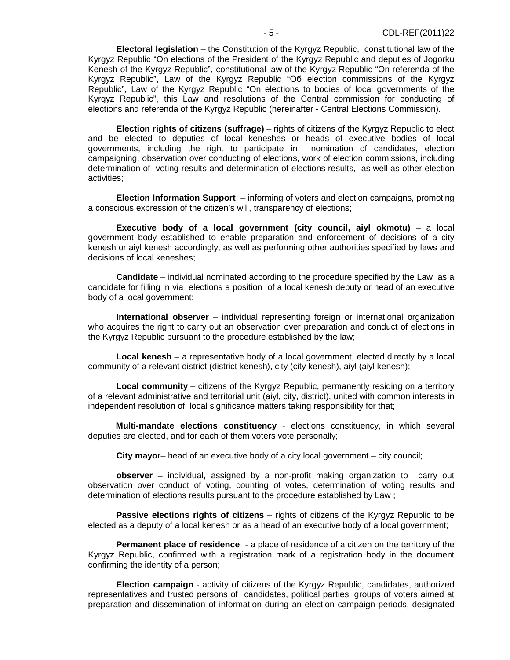**Electoral legislation** – the Constitution of the Kyrgyz Republic, constitutional law of the Kyrgyz Republic "On elections of the President of the Kyrgyz Republic and deputies of Jogorku Kenesh of the Kyrgyz Republic", constitutional law of the Kyrgyz Republic "On referenda of the Kyrgyz Republic", Law of the Kyrgyz Republic "Об election commissions of the Kyrgyz Republic", Law of the Kyrgyz Republic "On elections to bodies of local governments of the Kyrgyz Republic", this Law and resolutions of the Central commission for conducting of elections and referenda of the Kyrgyz Republic (hereinafter - Central Elections Commission).

**Election rights of citizens (suffrage)** – rights оf citizens of the Kyrgyz Republic to elect and be elected to deputies of local keneshes or heads of executive bodies of local governments, including the right to participate in nomination of candidates, election campaigning, observation over conducting of elections, work of election commissions, including determination of voting results and determination of elections results, as well as other election activities;

**Election Information Support** – informing of voters and election campaigns, promoting a conscious expression of the citizen's will, transparency of elections;

**Executive body of a local government (city council, aiyl okmotu)** – a local government body established to enable preparation and enforcement of decisions of a city kenesh or aiyl kenesh accordingly, as well as performing other authorities specified by laws and decisions of local keneshes;

**Candidate** – individual nominated according to the procedure specified by the Law as a candidate for filling in via elections a position of a local kenesh deputy or head of an executive body of a local government;

**International observer** – individual representing foreign or international organization who acquires the right to carry out an observation over preparation and conduct of elections in the Kyrgyz Republic pursuant to the procedure established by the law;

**Local kenesh** – a representative body of a local government, elected directly by a local community of a relevant district (district kenesh), city (city kenesh), aiyl (aiyl kenesh);

**Local community** – citizens of the Kyrgyz Republic, permanently residing on a territory of a relevant administrative and territorial unit (aiyl, city, district), united with common interests in independent resolution of local significance matters taking responsibility for that;

**Multi-mandate elections constituency** - elections constituency, in which several deputies are elected, and for each of them voters vote personally;

**City mayor**– head of an executive body of a city local government – city council;

**observer** – individual, assigned by a non-profit making organization to carry out observation over conduct of voting, counting of votes, determination of voting results and determination of elections results pursuant to the procedure established by Law ;

**Passive elections rights of citizens** – rights of citizens of the Kyrgyz Republic to be elected as a deputy of a local kenesh or as a head of an executive body of a local government;

**Permanent place of residence** - a place of residence of a citizen on the territory of the Kyrgyz Republic, confirmed with a registration mark of a registration body in the document confirming the identity of a person;

**Election campaign** - activity of citizens of the Kyrgyz Republic, candidates, authorized representatives and trusted persons of candidates, political parties, groups of voters aimed at preparation and dissemination of information during an election campaign periods, designated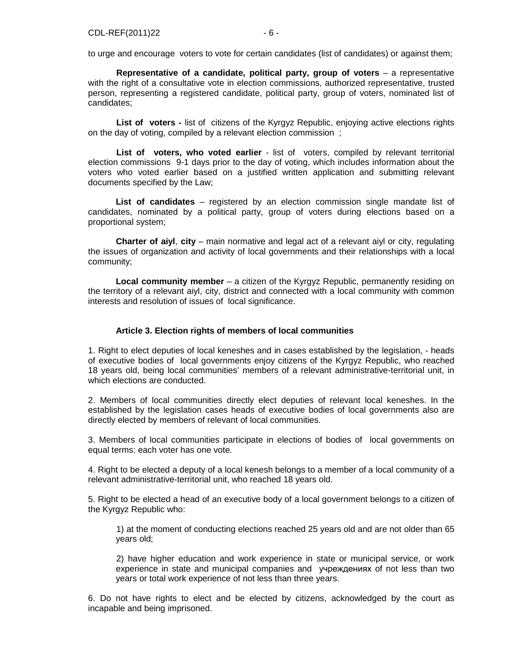to urge and encourage voters to vote for certain candidates (list of candidates) or against them;

**Representative of a candidate, political party, group of voters** – a representative with the right of a consultative vote in election commissions, authorized representative, trusted person, representing a registered candidate, political party, group of voters, nominated list of candidates;

**List of voters -** list of citizens of the Kyrgyz Republic, enjoying active elections rights on the day of voting, compiled by a relevant election commission ;

List of voters, who voted earlier - list of voters, compiled by relevant territorial election commissions 9-1 days prior to the day of voting, which includes information about the voters who voted earlier based on a justified written application and submitting relevant documents specified by the Law;

**List of candidates** – registered by an election commission single mandate list of candidates, nominated by a political party, group of voters during elections based on a proportional system;

**Charter of aiyl**, **city** – main normative and legal act of a relevant aiyl or city, regulating the issues of organization and activity of local governments and their relationships with a local community;

**Local community member** – a citizen of the Kyrgyz Republic, permanently residing on the territory of a relevant aiyl, city, district and connected with a local community with common interests and resolution of issues of local significance.

#### **Article 3. Election rights of members of local communities**

1. Right to elect deputies of local keneshes and in cases established by the legislation, - heads of executive bodies of local governments enjoy citizens of the Kyrgyz Republic, who reached 18 years old, being local communities' members of a relevant administrative-territorial unit, in which elections are conducted.

2. Members of local communities directly elect deputies of relevant local keneshes. In the established by the legislation cases heads of executive bodies of local governments also are directly elected by members of relevant of local communities.

3. Members of local communities participate in elections of bodies of local governments on equal terms: each voter has one vote.

4. Right to be elected a deputy of a local kenesh belongs to a member of a local community of a relevant administrative-territorial unit, who reached 18 years old.

5. Right to be elected a head of an executive body of a local government belongs to a citizen of the Kyrgyz Republic who:

1) at the moment of conducting elections reached 25 years old and are not older than 65 years old;

2) have higher education and work experience in state or municipal service, or work experience in state and municipal companies and учреждениях of not less than two years or total work experience of not less than three years.

6. Do not have rights to elect and be elected by citizens, acknowledged by the court as incapable and being imprisoned.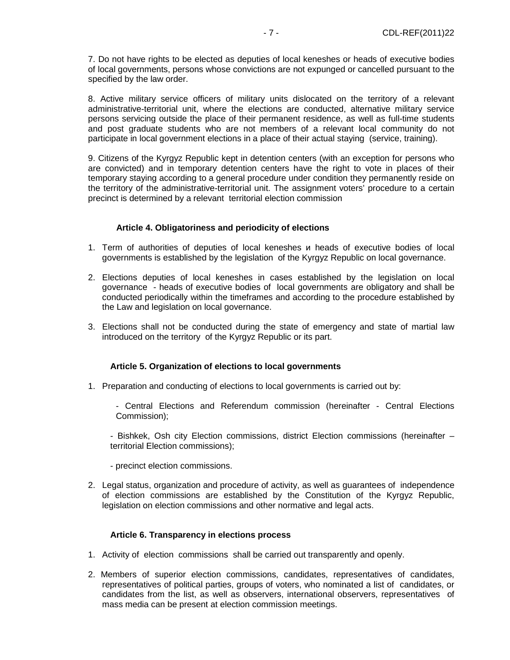7. Do not have rights to be elected as deputies of local keneshes or heads of executive bodies of local governments, persons whose convictions are not expunged or cancelled pursuant to the specified by the law order.

8. Active military service officers of military units dislocated on the territory of a relevant administrative-territorial unit, where the elections are conducted, alternative military service persons servicing outside the place of their permanent residence, as well as full-time students and post graduate students who are not members of a relevant local community do not participate in local government elections in a place of their actual staying (service, training).

9. Citizens of the Kyrgyz Republic kept in detention centers (with an exception for persons who are convicted) and in temporary detention centers have the right to vote in places of their temporary staying according to a general procedure under condition they permanently reside on the territory of the administrative-territorial unit. The assignment voters' procedure to a certain precinct is determined by a relevant territorial election commission

## **Article 4. Obligatoriness and periodicity of elections**

- 1. Term of authorities of deputies of local keneshes и heads of executive bodies of local governments is established by the legislation of the Kyrgyz Republic on local governance.
- 2. Elections deputies of local keneshes in cases established by the legislation on local governance - heads of executive bodies of local governments are obligatory and shall be conducted periodically within the timeframes and according to the procedure established by the Law and legislation on local governance.
- 3. Elections shall not be conducted during the state of emergency and state of martial law introduced on the territory of the Kyrgyz Republic or its part.

## **Article 5. Organization of elections to local governments**

- 1. Preparation and conducting of elections to local governments is carried out by:
	- Central Elections and Referendum commission (hereinafter Central Elections Commission);

- Bishkek, Osh city Election commissions, district Election commissions (hereinafter – territorial Election commissions);

- precinct election commissions.
- 2. Legal status, organization and procedure of activity, as well as guarantees of independence of election commissions are established by the Constitution of the Kyrgyz Republic, legislation оn election commissions and other normative and legal acts.

#### **Article 6. Transparency in elections process**

- 1. Activity of election commissions shall be carried out transparently and openly.
- 2. Members of superior election commissions, candidates, representatives of candidates, representatives of political parties, groups of voters, who nominated a list of candidates, or candidates from the list, as well as observers, international observers, representatives of mass media can be present at election commission meetings.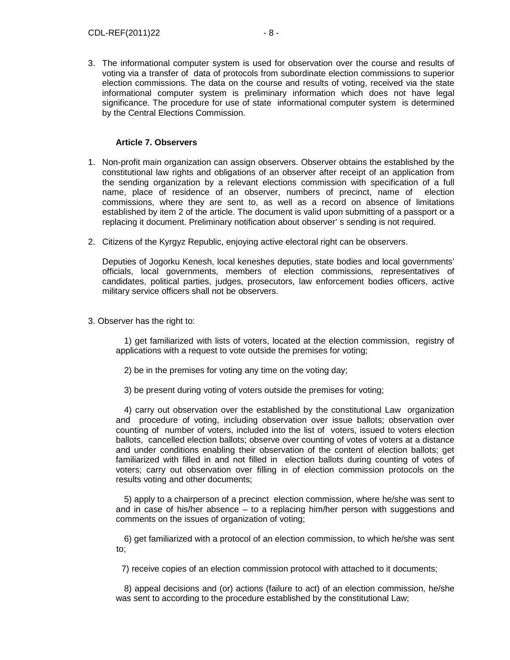3. The informational computer system is used for observation over the course and results of voting via a transfer of data of protocols from subordinate election commissions to superior election commissions. The data on the course and results of voting, received via the state informational computer system is preliminary information which does not have legal significance. The procedure for use of state informational computer system is determined by the Central Elections Commission.

## **Article 7. Observers**

- 1. Non-profit main organization can assign observers. Observer obtains the established by the constitutional law rights and obligations of an observer after receipt of an application from the sending organization by a relevant elections commission with specification of a full name, place of residence of an observer, numbers of precinct, name of election commissions, where they are sent to, as well as a record on absence of limitations established by item 2 of the article. The document is valid upon submitting of a passport or a replacing it document. Preliminary notification about observer' s sending is not required.
- 2. Citizens of the Kyrgyz Republic, enjoying active electoral right can be observers.

 Deputies of Jogorku Kenesh, local keneshes deputies, state bodies and local governments' officials, local governments, members of election commissions, representatives of candidates, political parties, judges, prosecutors, law enforcement bodies officers, active military service officers shall not be observers.

3. Observer has the right to:

 1) get familiarized with lists of voters, located at the election commission, registry of applications with a request to vote outside the premises for voting;

- 2) be in the premises for voting any time on the voting day;
- 3) be present during voting of voters outside the premises for voting;

 4) carry out observation over the established by the constitutional Law organization and procedure of voting, including observation over issue ballots; observation over counting of number of voters, included into the list of voters, issued to voters election ballots, cancelled election ballots; observe over counting of votes of voters at a distance and under conditions enabling their observation of the content of election ballots; get familiarized with filled in and not filled in election ballots during counting of votes of voters; carry out observation over filling in of election commission protocols on the results voting and other documents;

 5) apply to a chairperson of a precinct election commission, where he/she was sent to and in case of his/her absence – to a replacing him/her person with suggestions and comments on the issues of organization of voting;

 6) get familiarized with a protocol of an election commission, to which he/she was sent to;

7) receive copies of an election commission protocol with attached to it documents;

 8) appeal decisions and (or) actions (failure to act) of an election commission, he/she was sent to according to the procedure established by the constitutional Law;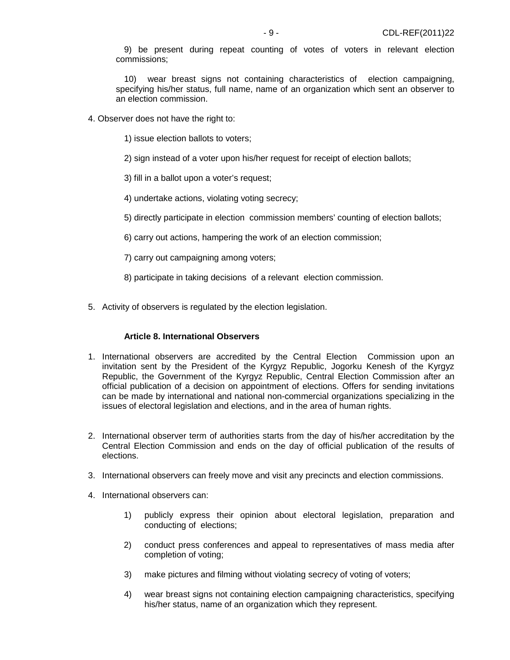9) be present during repeat counting of votes of voters in relevant election commissions;

 10) wear breast signs not containing characteristics of election campaigning, specifying his/her status, full name, name of an organization which sent an observer to an election commission.

- 4. Observer does not have the right to:
	- 1) issue election ballots to voters;
	- 2) sign instead of a voter upon his/her request for receipt of election ballots;
	- 3) fill in a ballot upon a voter's request;
	- 4) undertake actions, violating voting secrecy;
	- 5) directly participate in election commission members' counting of election ballots;
	- 6) carry out actions, hampering the work of an election commission;
	- 7) carry out campaigning among voters;
	- 8) participate in taking decisions of a relevant election commission.
- 5. Activity of observers is regulated by the election legislation.

#### **Article 8. International Observers**

- 1. International observers are accredited by the Central Election Commission upon an invitation sent by the President of the Kyrgyz Republic, Jogorku Kenesh of the Kyrgyz Republic, the Government of the Kyrgyz Republic, Central Election Commission after an official publication of a decision on appointment of elections. Offers for sending invitations can be made by international and national non-commercial organizations specializing in the issues of electoral legislation and elections, and in the area of human rights.
- 2. International observer term of authorities starts from the day of his/her accreditation by the Central Election Commission and ends on the day of official publication of the results of elections.
- 3. International observers can freely move and visit any precincts and election commissions.
- 4. International observers can:
	- 1) publicly express their opinion about electoral legislation, preparation and conducting of elections;
	- 2) conduct press conferences and appeal to representatives of mass media after completion of voting;
	- 3) make pictures and filming without violating secrecy of voting of voters;
	- 4) wear breast signs not containing election campaigning characteristics, specifying his/her status, name of an organization which they represent.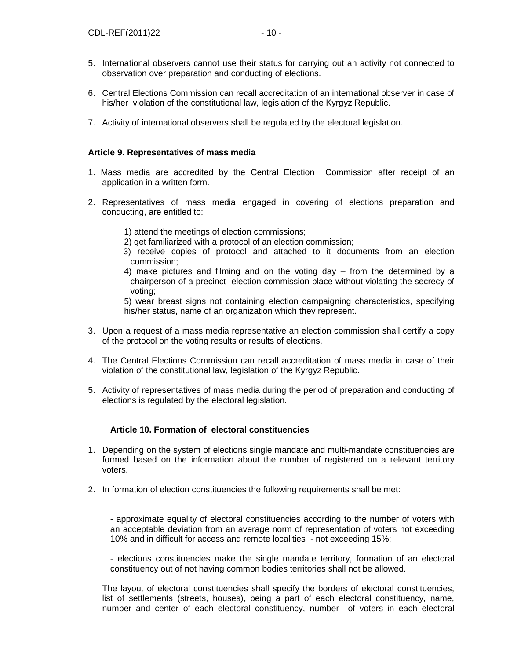- 6. Central Elections Commission can recall accreditation of an international observer in case of his/her violation of the constitutional law, legislation of the Kyrgyz Republic.
- 7. Activity of international observers shall be regulated by the electoral legislation.

## **Article 9. Representatives of mass media**

- 1. Mass media are accredited by the Central Election Commission after receipt of an application in a written form.
- 2. Representatives of mass media engaged in covering of elections preparation and conducting, are entitled to:
	- 1) attend the meetings of election commissions;
	- 2) get familiarized with a protocol of an election commission;
	- 3) receive copies of protocol and attached to it documents from an election commission;
	- 4) make pictures and filming and on the voting day from the determined by a chairperson of a precinct election commission place without violating the secrecy of voting;

5) wear breast signs not containing election campaigning characteristics, specifying his/her status, name of an organization which they represent.

- 3. Upon a request of a mass media representative an election commission shall certify a copy of the protocol on the voting results or results of elections.
- 4. The Central Elections Commission can recall accreditation of mass media in case of their violation of the constitutional law, legislation of the Kyrgyz Republic.
- 5. Activity of representatives of mass media during the period of preparation and conducting of elections is regulated by the electoral legislation.

## **Article 10. Formation of electoral constituencies**

- 1. Depending on the system of elections single mandate and multi-mandate constituencies are formed based on the information about the number of registered on a relevant territory voters.
- 2. In formation of election constituencies the following requirements shall be met:

- approximate equality of electoral constituencies according to the number of voters with an acceptable deviation from an average norm of representation of voters not exceeding 10% and in difficult for access and remote localities - not exceeding 15%;

- elections constituencies make the single mandate territory, formation of an electoral constituency out of not having common bodies territories shall not be allowed.

The layout of electoral constituencies shall specify the borders of electoral constituencies, list of settlements (streets, houses), being a part of each electoral constituency, name, number and center of each electoral constituency, number of voters in each electoral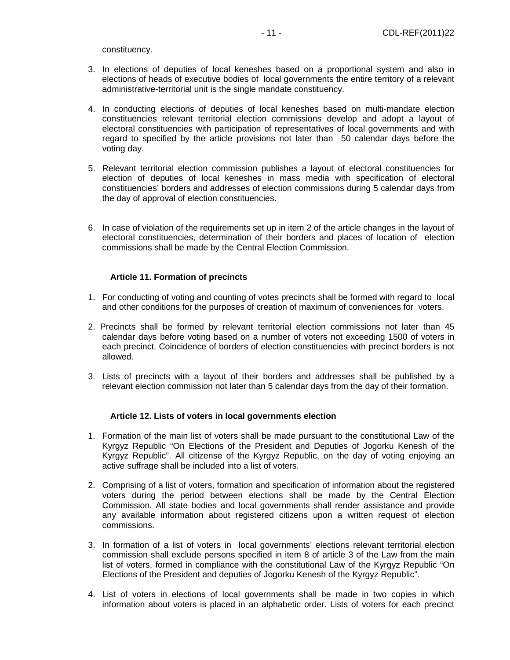- 4. In conducting elections of deputies of local keneshes based on multi-mandate election constituencies relevant territorial election commissions develop and adopt a layout of electoral constituencies with participation of representatives of local governments and with regard to specified by the article provisions not later than 50 calendar days before the voting day.
- 5. Relevant territorial election commission publishes a layout of electoral constituencies for election of deputies of local keneshes in mass media with specification of electoral constituencies' borders and addresses of election commissions during 5 calendar days from the day of approval of election constituencies.
- 6. In case of violation of the requirements set up in item 2 of the article changes in the layout of electoral constituencies, determination of their borders and places of location of election commissions shall be made by the Central Election Commission.

## **Article 11. Formation of precincts**

- 1. For conducting of voting and counting of votes precincts shall be formed with regard to local and other conditions for the purposes of creation of maximum of conveniences for voters.
- 2. Precincts shall be formed by relevant territorial election commissions not later than 45 calendar days before voting based on a number of voters not exceeding 1500 of voters in each precinct. Coincidence of borders of election constituencies with precinct borders is not allowed.
- 3. Lists of precincts with a layout of their borders and addresses shall be published by a relevant election commission not later than 5 calendar days from the day of their formation.

#### **Article 12. Lists of voters in local governments election**

- 1. Formation of the main list of voters shall be made pursuant to the constitutional Law of the Kyrgyz Republic "On Elections of the President and Deputies of Jogorku Kenesh of the Kyrgyz Republic". All citizensе of the Kyrgyz Republic, on the day of voting enjoying an active suffrage shall be included into a list of voters.
- 2. Comprising of a list of voters, formation and specification of information about the registered voters during the period between elections shall be made by the Central Election Commission. All state bodies and local governments shall render assistance and provide any available information about registered citizens upon a written request of election commissions.
- 3. In formation of a list of voters in local governments' elections relevant territorial election commission shall exclude persons specified in item 8 of article 3 of the Law from the main list of voters, formed in compliance with the constitutional Law of the Kyrgyz Republic "On Elections of the President and deputies of Jogorku Kenesh of the Kyrgyz Republic".
- 4. List of voters in elections of local governments shall be made in two copies in which information about voters is placed in an alphabetic order. Lists of voters for each precinct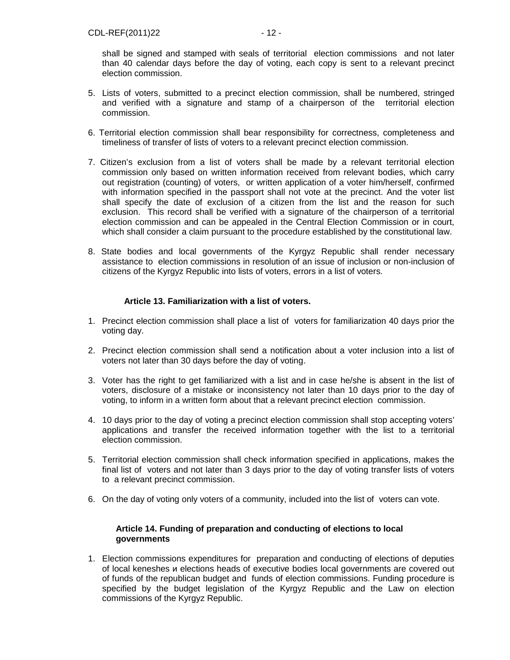shall be signed and stamped with seals of territorial election commissions and not later than 40 calendar days before the day of voting, each copy is sent to a relevant precinct election commission.

- 5. Lists of voters, submitted to a precinct election commission, shall be numbered, stringed and verified with a signature and stamp of a chairperson of the territorial election commission.
- 6. Territorial election commission shall bear responsibility for correctness, completeness and timeliness of transfer of lists of voters to a relevant precinct election commission.
- 7. Citizen's exclusion from a list of voters shall be made by a relevant territorial election commission only based on written information received from relevant bodies, which carry out registration (counting) of voters, or written application of a voter him/herself, confirmed with information specified in the passport shall not vote at the precinct. And the voter list shall specify the date of exclusion of a citizen from the list and the reason for such exclusion. This record shall be verified with a signature of the chairperson of a territorial election commission and can be appealed in the Central Election Commission or in court, which shall consider a claim pursuant to the procedure established by the constitutional law.
- 8. State bodies and local governments of the Kyrgyz Republic shall render necessary assistance to election commissions in resolution of an issue of inclusion or non-inclusion of citizens of the Kyrgyz Republic into lists of voters, errors in a list of voters.

## **Article 13. Familiarization with a list of voters.**

- 1. Precinct election commission shall place a list of voters for familiarization 40 days prior the voting day.
- 2. Precinct election commission shall send a notification about a voter inclusion into a list of voters not later than 30 days before the day of voting.
- 3. Voter has the right to get familiarized with a list and in case he/she is absent in the list of voters, disclosure of a mistake or inconsistency not later than 10 days prior to the day of voting, to inform in a written form about that a relevant precinct election commission.
- 4. 10 days prior to the day of voting a precinct election commission shall stop accepting voters' applications and transfer the received information together with the list to a territorial election commission.
- 5. Territorial election commission shall check information specified in applications, makes the final list of voters and not later than 3 days prior to the day of voting transfer lists of voters to a relevant precinct commission.
- 6. On the day of voting only voters of a community, included into the list of voters can vote.

## **Article 14. Funding of preparation and conducting of elections to local governments**

1. Election commissions expenditures for preparation and conducting of elections of deputies of local keneshes и elections heads of executive bodies local governments are covered out of funds of the republican budget and funds of election commissions. Funding procedure is specified by the budget legislation of the Kyrgyz Republic and the Law on election commissions of the Kyrgyz Republic.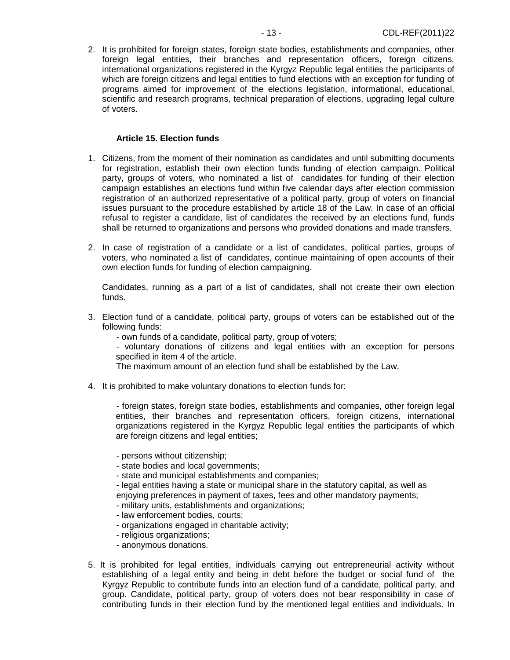2. It is prohibited for foreign states, foreign state bodies, establishments and companies, other foreign legal entities, their branches and representation officers, foreign citizens, international organizations registered in the Kyrgyz Republic legal entities the participants of which are foreign citizens and legal entities to fund elections with an exception for funding of programs aimed for improvement of the elections legislation, informational, educational, scientific and research programs, technical preparation of elections, upgrading legal culture of voters.

#### **Article 15. Election funds**

- 1. Citizens, from the moment of their nomination as candidates and until submitting documents for registration, establish their own election funds funding of election campaign. Political party, groups of voters, who nominated a list of candidates for funding of their election campaign establishes an elections fund within five calendar days after election commission registration of an authorized representative of a political party, group of voters on financial issues pursuant to the procedure established by article 18 of the Law. In case of an official refusal to register a candidate, list of candidates the received by an elections fund, funds shall be returned to organizations and persons who provided donations and made transfers.
- 2. In case of registration of a candidate or a list of candidates, political parties, groups of voters, who nominated a list of candidates, continue maintaining of open accounts of their own election funds for funding of election campaigning.

Candidates, running as a part of a list of candidates, shall not create their own election funds.

3. Election fund of a candidate, political party, groups of voters can be established out of the following funds:

- own funds of a candidate, political party, group of voters;

- voluntary donations of citizens and legal entities with an exception for persons specified in item 4 of the article.

The maximum amount of an election fund shall be established by the Law.

4. It is prohibited to make voluntary donations to election funds for:

- foreign states, foreign state bodies, establishments and companies, other foreign legal entities, their branches and representation officers, foreign citizens, international organizations registered in the Kyrgyz Republic legal entities the participants of which are foreign citizens and legal entities;

- persons without citizenship;
- state bodies and local governments;
- state and municipal establishments and companies;
- legal entities having a state or municipal share in the statutory capital, as well as

enjoying preferences in payment of taxes, fees and other mandatory payments;

- military units, establishments and organizations;
- law enforcement bodies, courts;
- organizations engaged in charitable activity;
- religious organizations;
- anonymous donations.
- 5. It is prohibited for legal entities, individuals carrying out entrepreneurial activity without establishing of a legal entity and being in debt before the budget or social fund of the Kyrgyz Republic to contribute funds into an election fund of a candidate, political party, and group. Candidate, political party, group of voters does not bear responsibility in case of contributing funds in their election fund by the mentioned legal entities and individuals. In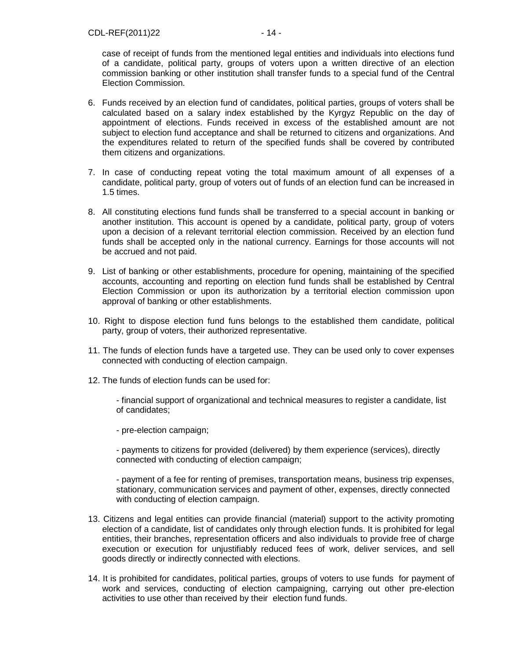- 6. Funds received by an election fund of candidates, political parties, groups of voters shall be calculated based on a salary index established by the Kyrgyz Republic on the day of appointment of elections. Funds received in excess of the established amount are not subject to election fund acceptance and shall be returned to citizens and organizations. And the expenditures related to return of the specified funds shall be covered by contributed them citizens and organizations.
- 7. In case of conducting repeat voting the total maximum amount of all expenses of a candidate, political party, group of voters out of funds of an election fund can be increased in 1.5 times.
- 8. All constituting elections fund funds shall be transferred to a special account in banking or another institution. This account is opened by a candidate, political party, group of voters upon a decision of a relevant territorial election commission. Received by an election fund funds shall be accepted only in the national currency. Earnings for those accounts will not be accrued and not paid.
- 9. List of banking or other establishments, procedure for opening, maintaining of the specified accounts, accounting and reporting on election fund funds shall be established by Central Election Commission or upon its authorization by a territorial election commission upon approval of banking or other establishments.
- 10. Right to dispose election fund funs belongs to the established them candidate, political party, group of voters, their authorized representative.
- 11. The funds of election funds have a targeted use. They can be used only to cover expenses connected with conducting of election campaign.
- 12. The funds of election funds can be used for:

- financial support of organizational and technical measures to register a candidate, list of candidates;

- pre-election campaign;

- payments to citizens for provided (delivered) by them experience (services), directly connected with conducting of election campaign;

- payment of a fee for renting of premises, transportation means, business trip expenses, stationary, communication services and payment of other, expenses, directly connected with conducting of election campaign.

- 13. Citizens and legal entities can provide financial (material) support to the activity promoting election of a candidate, list of candidates only through election funds. It is prohibited for legal entities, their branches, representation officers and also individuals to provide free of charge execution or execution for unjustifiably reduced fees of work, deliver services, and sell goods directly or indirectly connected with elections.
- 14. It is prohibited for candidates, political parties, groups of voters to use funds for payment of work and services, conducting of election campaigning, carrying out other pre-election activities to use other than received by their election fund funds.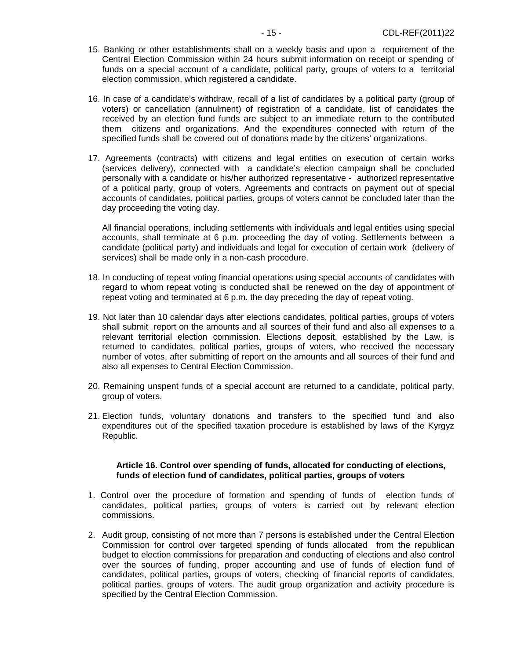- 15. Banking or other establishments shall on a weekly basis and upon a requirement of the Central Election Commission within 24 hours submit information on receipt or spending of funds on a special account of a candidate, political party, groups of voters to a territorial election commission, which registered a candidate.
- 16. In case of a candidate's withdraw, recall of а list of candidates by a political party (group of voters) or cancellation (annulment) of registration of a candidate, list of candidates the received by an election fund funds are subject to an immediate return to the contributed them citizens and organizations. And the expenditures connected with return of the specified funds shall be covered out of donations made by the citizens' organizations.
- 17. Agreements (contracts) with citizens and legal entities on execution of certain works (services delivery), connected with a candidate's election campaign shall be concluded personally with a candidate or his/her authorized representative - authorized representative of a political party, group of voters. Agreements and contracts on payment out of special accounts of candidates, political parties, groups of voters cannot be concluded later than the day proceeding the voting day.

All financial operations, including settlements with individuals and legal entities using special accounts, shall terminate at 6 p.m. proceeding the day of voting. Settlements between a candidate (political party) and individuals and legal for execution of certain work (delivery of services) shall be made only in a non-cash procedure.

- 18. In conducting of repeat voting financial operations using special accounts of candidates with regard to whom repeat voting is conducted shall be renewed on the day of appointment of repeat voting and terminated at 6 p.m. the day preceding the day of repeat voting.
- 19. Not later than 10 calendar days after elections candidates, political parties, groups of voters shall submit report on the amounts and all sources of their fund and also all expenses to a relevant territorial election commission. Elections deposit, established by the Law, is returned to candidates, political parties, groups of voters, who received the necessary number of votes, after submitting of report on the amounts and all sources of their fund and also all expenses to Central Election Commission.
- 20. Remaining unspent funds of a special account are returned to a candidate, political party, group of voters.
- 21. Election funds, voluntary donations and transfers to the specified fund and also expenditures out of the specified taxation procedure is established by laws of the Kyrgyz Republic.

#### **Article 16. Control over spending of funds, allocated for conducting of elections, funds of election fund of candidates, political parties, groups of voters**

- 1. Control over the procedure of formation and spending of funds of election funds of candidates, political parties, groups of voters is carried out by relevant election commissions.
- 2. Audit group, consisting of not more than 7 persons is established under the Central Election Commission for control over targeted spending of funds allocated from the republican budget to election commissions for preparation and conducting of elections and also control over the sources of funding, proper accounting and use of funds of election fund of candidates, political parties, groups of voters, checking of financial reports of candidates, political parties, groups of voters. The audit group organization and activity procedure is specified by the Central Election Commission.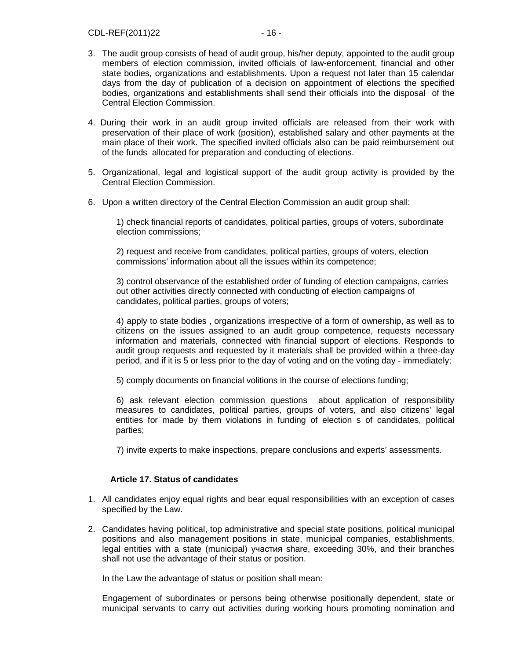- 3. The audit group consists of head of audit group, his/her deputy, appointed to the audit group members of election commission, invited officials of law-enforcement, financial and other state bodies, organizations and establishments. Upon a request not later than 15 calendar days from the day of publication of a decision on appointment of elections the specified bodies, organizations and establishments shall send their officials into the disposal of the Central Election Commission.
- 4. During their work in an audit group invited officials are released from their work with preservation of their place of work (position), established salary and other payments at the main place of their work. The specified invited officials also can be paid reimbursement out of the funds allocated for preparation and conducting of elections.
- 5. Organizational, legal and logistical support of the audit group activity is provided by the Central Election Commission.
- 6. Upon a written directory of the Central Election Commission an audit group shall:

1) check financial reports of candidates, political parties, groups of voters, subordinate election commissions;

2) request and receive from candidates, political parties, groups of voters, election commissions' information about all the issues within its competence;

3) control observance of the established order of funding of election campaigns, carries out other activities directly connected with conducting of election campaigns of candidates, political parties, groups of voters;

4) apply to state bodies , organizations irrespective of a form of ownership, as well as to citizens on the issues assigned to an audit group competence, requests necessary information and materials, connected with financial support of elections. Responds to audit group requests and requested by it materials shall be provided within a three-day period, and if it is 5 or less prior to the day of voting and on the voting day - immediately;

5) comply documents on financial volitions in the course of elections funding;

6) ask relevant election commission questions about application of responsibility measures to candidates, political parties, groups of voters, and also citizens' legal entities for made by them violations in funding of election s of candidates, political parties;

7) invite experts to make inspections, prepare conclusions and experts' assessments.

## **Article 17. Status of candidates**

- 1. All candidates enjoy equal rights and bear equal responsibilities with an exception of cases specified by the Law.
- 2. Candidates having political, top administrative and special state positions, political municipal positions and also management positions in state, municipal companies, establishments, legal entities with a state (municipal) участия share, exceeding 30%, and their branches shall not use the advantage of their status or position.

In the Law the advantage of status or position shall mean:

Engagement of subordinates or persons being otherwise positionally dependent, state or municipal servants to carry out activities during working hours promoting nomination and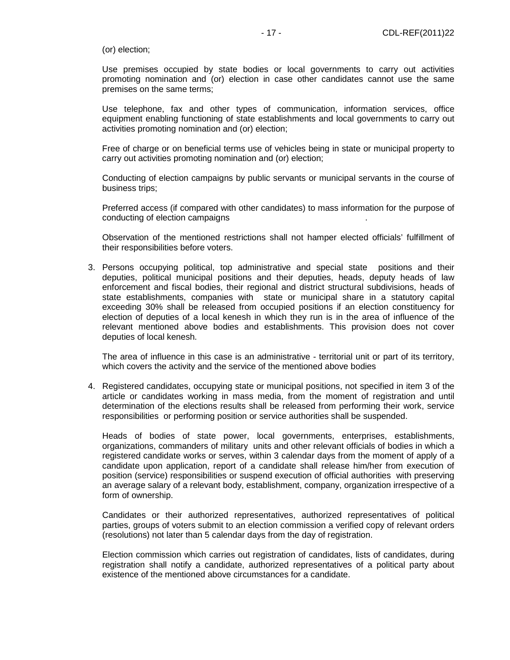(or) election;

Use premises occupied by state bodies or local governments to carry out activities promoting nomination and (or) election in case other candidates cannot use the same premises on the same terms;

Use telephone, fax and other types of communication, information services, office equipment enabling functioning of state establishments and local governments to carry out activities promoting nomination and (or) election;

Free of charge or on beneficial terms use of vehicles being in state or municipal property to carry out activities promoting nomination and (or) election;

Conducting of election campaigns by public servants or municipal servants in the course of business trips;

Preferred access (if compared with other candidates) to mass information for the purpose of conducting of election campaigns

Observation of the mentioned restrictions shall not hamper elected officials' fulfillment of their responsibilities before voters.

3. Persons occupying political, top administrative and special state positions and their deputies, political municipal positions and their deputies, heads, deputy heads of law enforcement and fiscal bodies, their regional and district structural subdivisions, heads of state establishments, companies with state or municipal share in a statutory capital exceeding 30% shall be released from occupied positions if an election constituency for election of deputies of a local kenesh in which they run is in the area of influence of the relevant mentioned above bodies and establishments. This provision does not cover deputies of local kenesh.

The area of influence in this case is an administrative - territorial unit or part of its territory, which covers the activity and the service of the mentioned above bodies

4. Registered candidates, occupying state or municipal positions, not specified in item 3 of the article or candidates working in mass media, from the moment of registration and until determination of the elections results shall be released from performing their work, service responsibilities or performing position or service authorities shall be suspended.

Heads of bodies of state power, local governments, enterprises, establishments, organizations, commanders of military units and other relevant officials of bodies in which a registered candidate works or serves, within 3 calendar days from the moment of apply of a candidate upon application, report of a candidate shall release him/her from execution of position (service) responsibilities or suspend execution of official authorities with preserving an average salary of a relevant body, establishment, company, organization irrespective of a form of ownership.

Candidates or their authorized representatives, authorized representatives of political parties, groups of voters submit to an election commission a verified copy of relevant orders (resolutions) not later than 5 calendar days from the day of registration.

Election commission which carries out registration of candidates, lists of candidates, during registration shall notify a candidate, authorized representatives of a political party about existence of the mentioned above circumstances for a candidate.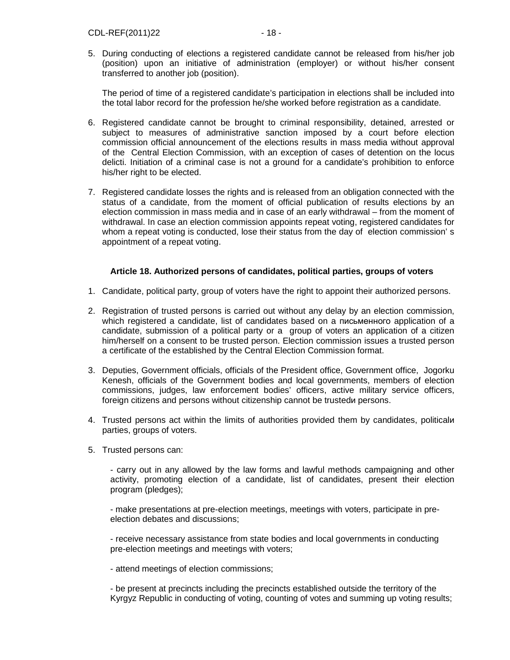5. During conducting of elections a registered candidate cannot be released from his/her job (position) upon an initiative of administration (employer) or without his/her consent transferred to another job (position).

The period of time of a registered candidate's participation in elections shall be included into the total labor record for the profession he/she worked before registration as a candidate.

- 6. Registered candidate cannot be brought to criminal responsibility, detained, arrested or subject to measures of administrative sanction imposed by a court before election commission official announcement of the elections results in mass media without approval of the Central Election Commission, with an exception of cases of detention on the locus delicti. Initiation of a criminal case is not a ground for a candidate's prohibition to enforce his/her right to be elected.
- 7. Registered candidate losses the rights and is released from an obligation connected with the status of a candidate, from the moment of official publication of results elections by an election commission in mass media and in case of an early withdrawal – from the moment of withdrawal. In case an election commission appoints repeat voting, registered candidates for whom a repeat voting is conducted, lose their status from the day of election commission's appointment of a repeat voting.

## **Article 18. Authorized persons of candidates, political parties, groups of voters**

- 1. Candidate, political party, group of voters have the right to appoint their authorized persons.
- 2. Registration of trusted persons is carried out without any delay by an election commission, which registered a candidate, list of candidates based on a письменного application of a candidate, submission of a political party or a group of voters an application of a citizen him/herself on a consent to be trusted person. Election commission issues a trusted person a certificate of the established by the Central Election Commission format.
- 3. Deputies, Government officials, officials of the President office, Government office, Jogorku Kenesh, officials of the Government bodies and local governments, members of election commissions, judges, law enforcement bodies' officers, active military service officers, foreign citizens and persons without citizenship cannot be trustedи persons.
- 4. Trusted persons act within the limits of authorities provided them by candidates, politicalи parties, groups of voters.
- 5. Trusted persons can:

- carry out in any allowed by the law forms and lawful methods campaigning and other activity, promoting election of a candidate, list of candidates, present their election program (pledges);

- make presentations at pre-election meetings, meetings with voters, participate in preelection debates and discussions;

- receive necessary assistance from state bodies and local governments in conducting pre-election meetings and meetings with voters;

- attend meetings of election commissions;

- be present at precincts including the precincts established outside the territory of the Kyrgyz Republic in conducting of voting, counting of votes and summing up voting results;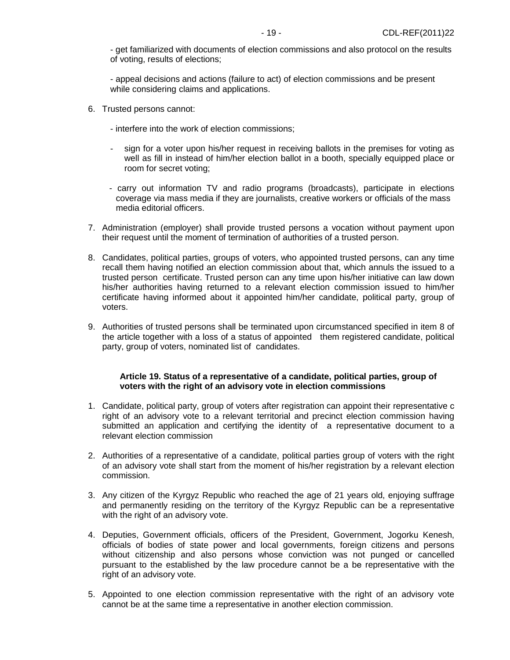- get familiarized with documents of election commissions and also protocol on the results of voting, results of elections;

- appeal decisions and actions (failure to act) of election commissions and be present while considering claims and applications.

- 6. Trusted persons cannot:
	- interfere into the work of election commissions;
	- sign for a voter upon his/her request in receiving ballots in the premises for voting as well as fill in instead of him/her election ballot in a booth, specially equipped place or room for secret voting;
	- carry out information TV and radio programs (broadcasts), participate in elections coverage via mass media if they are journalists, creative workers or officials of the mass media editorial officers.
- 7. Administration (employer) shall provide trusted persons a vocation without payment upon their request until the moment of termination of authorities of a trusted person.
- 8. Candidates, political parties, groups of voters, who appointed trusted persons, can any time recall them having notified an election commission about that, which annuls the issued to a trusted person certificate. Trusted person can any time upon his/her initiative can law down his/her authorities having returned to a relevant election commission issued to him/her certificate having informed about it appointed him/her candidate, political party, group of voters.
- 9. Authorities of trusted persons shall be terminated upon circumstanced specified in item 8 of the article together with a loss of a status of appointed them registered candidate, political party, group of voters, nominated list of candidates.

#### **Article 19. Status of a representative of a candidate, political parties, group of voters with the right of an advisory vote in election commissions**

- 1. Candidate, political party, group of voters after registration can appoint their representative с right of an advisory vote to a relevant territorial and precinct election commission having submitted an application and certifying the identity of a representative document to a relevant election commission
- 2. Authorities of a representative of a candidate, political parties group of voters with the right of an advisory vote shall start from the moment of his/her registration by a relevant election commission.
- 3. Any citizen of the Kyrgyz Republic who reached the age of 21 years old, enjoying suffrage and permanently residing on the territory of the Kyrgyz Republic can be a representative with the right of an advisory vote.
- 4. Deputies, Government officials, officers of the President, Government, Jogorku Kenesh, officials of bodies of state power and local governments, foreign citizens and persons without citizenship and also persons whose conviction was not punged or cancelled pursuant to the established by the law procedure cannot be a bе representative with the right of an advisory vote.
- 5. Appointed to one election commission representative with the right of an advisory vote cannot be at the same time a representative in another election commission.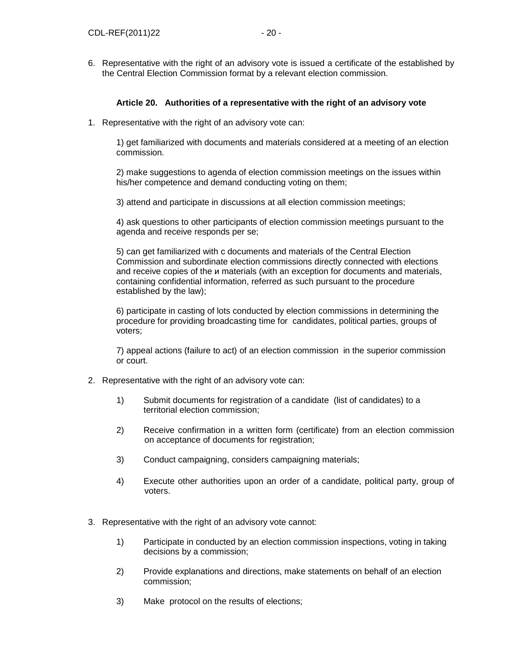6. Representative with the right of an advisory vote is issued a certificate of the established by the Central Election Commission format by a relevant election commission.

## **Article 20. Authorities of a representative with the right of an advisory vote**

1. Representative with the right of an advisory vote can:

1) get familiarized with documents and materials considered at a meeting of an election commission.

2) make suggestions to agenda of election commission meetings on the issues within his/her competence and demand conducting voting on them;

3) attend and participate in discussions at all election commission meetings;

4) ask questions to other participants of election commission meetings pursuant to the agenda and receive responds per se;

5) can get familiarized with с documents and materials of the Central Election Commission and subordinate election commissions directly connected with elections and receive copies of the и materials (with an exception for documents and materials, containing confidential information, referred as such pursuant to the procedure established by the law);

6) participate in casting of lots conducted by election commissions in determining the procedure for providing broadcasting time for candidates, political parties, groups of voters;

7) appeal actions (failure to act) of an election commission in the superior commission or court.

- 2. Representative with the right of an advisory vote can:
	- 1) Submit documents for registration of a candidate (list of candidates) to a territorial election commission;
	- 2) Receive confirmation in a written form (certificate) from an election commission on acceptance of documents for registration;
	- 3) Conduct campaigning, considers campaigning materials;
	- 4) Execute other authorities upon an order of a candidate, political party, group of voters.
- 3. Representative with the right of an advisory vote cannot:
	- 1) Participate in conducted by an election commission inspections, voting in taking decisions by a commission;
	- 2) Provide explanations and directions, make statements on behalf of an election commission;
	- 3) Make protocol on the results of elections;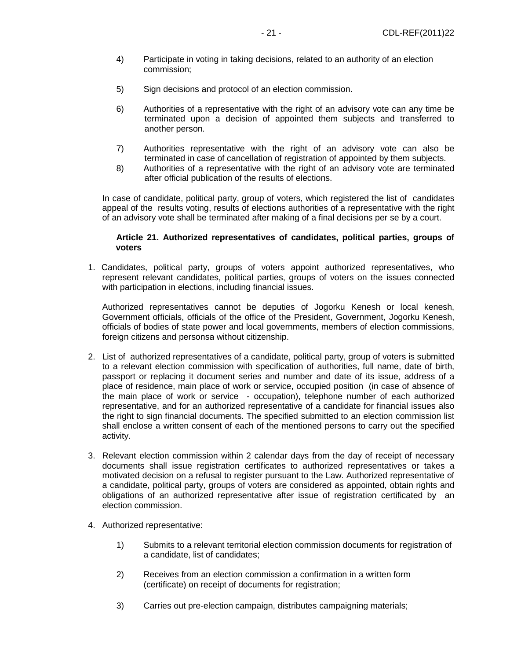- 4) Participate in voting in taking decisions, related to an authority of an election commission;
- 5) Sign decisions and protocol of an election commission.
- 6) Authorities of a representative with the right of an advisory vote can any time be terminated upon a decision of appointed them subjects and transferred to another person.
- 7) Authorities representative with the right of an advisory vote can also be terminated in case of cancellation of registration of appointed by them subjects.
- 8) Authorities of a representative with the right of an advisory vote are terminated after official publication of the results of elections.

In case of candidate, political party, group of voters, which registered the list of candidates appeal of the results voting, results of elections authorities of a representative with the right of an advisory vote shall be terminated after making of a final decisions per se by a court.

#### **Article 21. Authorized representatives of candidates, political parties, groups of voters**

1. Candidates, political party, groups of voters appoint authorized representatives, who represent relevant candidates, political parties, groups of voters on the issues connected with participation in elections, including financial issues.

Authorized representatives cannot be deputies of Jogorku Kenesh or local kenesh, Government officials, officials of the office of the President, Government, Jogorku Kenesh, officials of bodies of state power and local governments, members of election commissions, foreign citizens and personsа without citizenship.

- 2. List of authorized representatives of a candidate, political party, group of voters is submitted to a relevant election commission with specification of authorities, full name, date of birth, passport or replacing it document series and number and date of its issue, address of a place of residence, main place of work or service, occupied position (in case of absence of the main place of work or service - occupation), telephone number of each authorized representative, and for an authorized representative of a candidate for financial issues also the right to sign financial documents. The specified submitted to an election commission list shall enclose a written consent of each of the mentioned persons to carry out the specified activity.
- 3. Relevant election commission within 2 calendar days from the day of receipt of necessary documents shall issue registration certificates to authorized representatives or takes a motivated decision on a refusal to register pursuant to the Law. Authorized representative of a candidate, political party, groups of voters are considered as appointed, obtain rights and obligations of an authorized representative after issue of registration certificated by an election commission.
- 4. Authorized representative:
	- 1) Submits to a relevant territorial election commission documents for registration of a candidate, list of candidates;
	- 2) Receives from an election commission a confirmation in a written form (certificate) on receipt of documents for registration;
	- 3) Carries out pre-election campaign, distributes campaigning materials;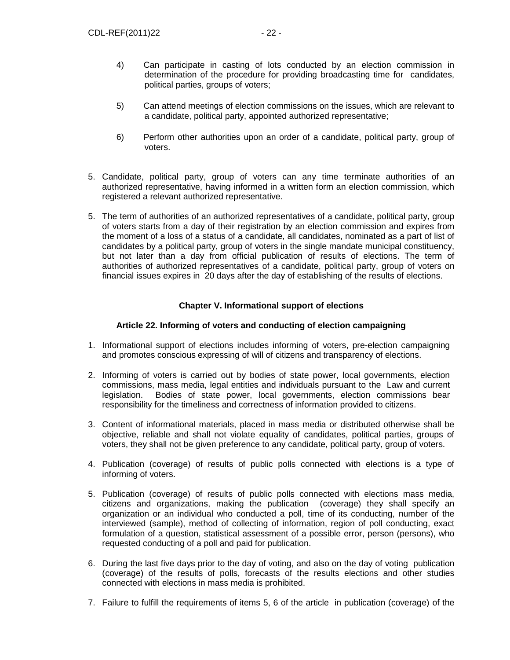- 4) Can participate in casting of lots conducted by an election commission in determination of the procedure for providing broadcasting time for candidates, political parties, groups of voters;
- 5) Can attend meetings of election commissions on the issues, which are relevant to a candidate, political party, appointed authorized representative;
- 6) Perform other authorities upon an order of a candidate, political party, group of voters.
- 5. Candidate, political party, group of voters can any time terminate authorities of an authorized representative, having informed in a written form an election commission, which registered a relevant authorized representative.
- 5. The term of authorities of an authorized representatives of a candidate, political party, group of voters starts from a day of their registration by an election commission and expires from the moment of a loss of a status of a candidate, all candidates, nominated as a part of list of candidates by a political party, group of voters in the single mandate municipal constituency, but not later than a day from official publication of results of elections. The term of authorities of authorized representatives of a candidate, political party, group of voters on financial issues expires in 20 days after the day of establishing of the results of elections.

## **Chapter V. Informational support of elections**

## **Article 22. Informing of voters and conducting of election campaigning**

- 1. Informational support of elections includes informing of voters, pre-election campaigning and promotes conscious expressing of will of citizens and transparency of elections.
- 2. Informing of voters is carried out by bodies of state power, local governments, election commissions, mass media, legal entities and individuals pursuant to the Law and current legislation. Bodies of state power, local governments, election commissions bear responsibility for the timeliness and correctness of information provided to citizens.
- 3. Content of informational materials, placed in mass media or distributed otherwise shall be objective, reliable and shall not violate equality of candidates, political parties, groups of voters, they shall not be given preference to any candidate, political party, group of voters.
- 4. Publication (coverage) of results of public polls connected with elections is a type of informing of voters.
- 5. Publication (coverage) of results of public polls connected with elections mass media, citizens and organizations, making the publication (coverage) they shall specify an organization or an individual who conducted a poll, time of its conducting, number of the interviewed (sample), method of collecting of information, region of poll conducting, exact formulation of a question, statistical assessment of a possible error, person (persons), who requested conducting of a poll and paid for publication.
- 6. During the last five days prior to the day of voting, and also on the day of voting publication (coverage) of the results of polls, forecasts of the results elections and other studies connected with elections in mass media is prohibited.
- 7. Failure to fulfill the requirements of items 5, 6 of the article in publication (coverage) of the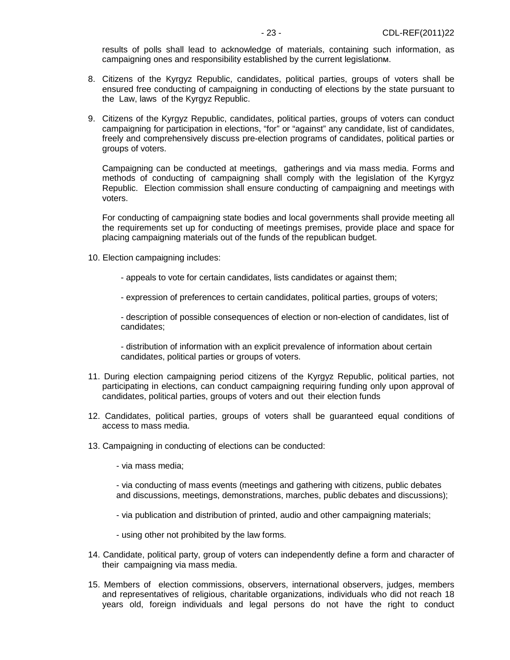results of polls shall lead to acknowledge of materials, containing such information, as campaigning ones and responsibility established by the current legislationм.

- 8. Citizens of the Kyrgyz Republic, candidates, political parties, groups of voters shall be ensured free conducting of campaigning in conducting of elections by the state pursuant to the Law, laws of the Kyrgyz Republic.
- 9. Citizens of the Kyrgyz Republic, candidates, political parties, groups of voters can conduct campaigning for participation in elections, "for" or "against" any candidate, list of candidates, freely and comprehensively discuss pre-election programs of candidates, political parties or groups of voters.

Campaigning can be conducted at meetings, gatherings and via mass media. Forms and methods of conducting of campaigning shall comply with the legislation of the Kyrgyz Republic. Election commission shall ensure conducting of campaigning and meetings with voters.

For conducting of campaigning state bodies and local governments shall provide meeting all the requirements set up for conducting of meetings premises, provide place and space for placing campaigning materials out of the funds of the republican budget.

- 10. Election campaigning includes:
	- appeals to vote for certain candidates, lists candidates or against them;
	- expression of preferences to certain candidates, political parties, groups of voters;

- description of possible consequences of election or non-election of candidates, list of candidates;

- distribution of information with an explicit prevalence of information about certain candidates, political parties or groups of voters.

- 11. During election campaigning period citizens of the Kyrgyz Republic, political parties, not participating in elections, can conduct campaigning requiring funding only upon approval of candidates, political parties, groups of voters and out their election funds
- 12. Candidates, political parties, groups of voters shall be guaranteed equal conditions of access to mass media.
- 13. Campaigning in conducting of elections can be conducted:
	- via mass media;

- via conducting of mass events (meetings and gathering with citizens, public debates and discussions, meetings, demonstrations, marches, public debates and discussions);

- via publication and distribution of printed, audio and other campaigning materials;
- using other not prohibited by the law forms.
- 14. Candidate, political party, group of voters can independently define a form and character of their campaigning via mass media.
- 15. Members of election commissions, observers, international observers, judges, members and representatives of religious, charitable organizations, individuals who did not reach 18 years old, foreign individuals and legal persons do not have the right to conduct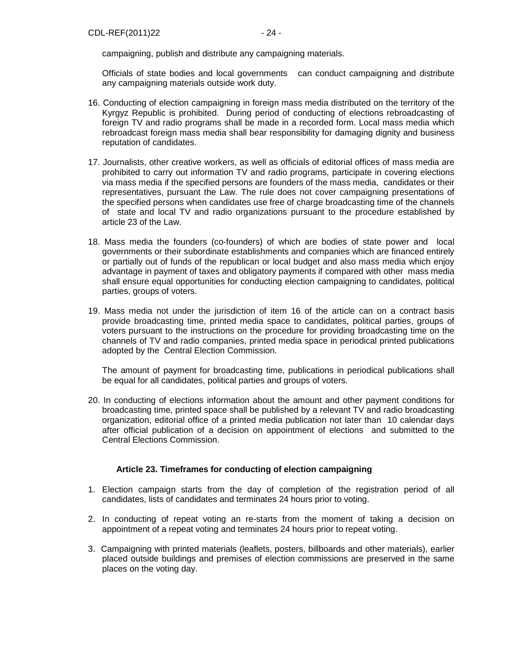campaigning, publish and distribute any campaigning materials.

Officials of state bodies and local governments can conduct campaigning and distribute any campaigning materials outside work duty.

- 16. Conducting of election campaigning in foreign mass media distributed on the territory of the Kyrgyz Republic is prohibited. During period of conducting of elections rebroadcasting of foreign TV and radio programs shall be made in a recorded form. Local mass media which rebroadcast foreign mass media shall bear responsibility for damaging dignity and business reputation of candidates.
- 17. Journalists, other creative workers, as well as officials of editorial offices of mass media are prohibited to carry out information TV and radio programs, participate in covering elections via mass media if the specified persons are founders of the mass media, candidates or their representatives, pursuant the Law. The rule does not cover campaigning presentations of the specified persons when candidates use free of charge broadcasting time of the channels of state and local TV and radio organizations pursuant to the procedure established by article 23 of the Law.
- 18. Mass media the founders (co-founders) of which are bodies of state power and local governments or their subordinate establishments and companies which are financed entirely or partially out of funds of the republican or local budget and also mass media which enjoy advantage in payment of taxes and obligatory payments if compared with other mass media shall ensure equal opportunities for conducting election campaigning to candidates, political parties, groups of voters.
- 19. Mass media not under the jurisdiction of item 16 of the article can on a contract basis provide broadcasting time, printed media space to candidates, political parties, groups of voters pursuant to the instructions on the procedure for providing broadcasting time on the channels of TV and radio companies, printed media space in periodical printed publications adopted by the Central Election Commission.

The amount of payment for broadcasting time, publications in periodical publications shall be equal for all candidates, political parties and groups of voters.

20. In conducting of elections information about the amount and other payment conditions for broadcasting time, printed space shall be published by a relevant TV and radio broadcasting organization, editorial office of a printed media publication not later than 10 calendar days after official publication of a decision on appointment of elections and submitted to the Central Elections Commission.

## **Article 23. Timeframes for conducting of election campaigning**

- 1. Election campaign starts from the day of completion of the registration period of all candidates, lists of candidates and terminates 24 hours prior to voting.
- 2. In conducting of repeat voting an re-starts from the moment of taking a decision on appointment of a repeat voting and terminates 24 hours prior to repeat voting.
- 3. Campaigning with printed materials (leaflets, posters, billboards and other materials), earlier placed outside buildings and premises of election commissions are preserved in the same places on the voting day.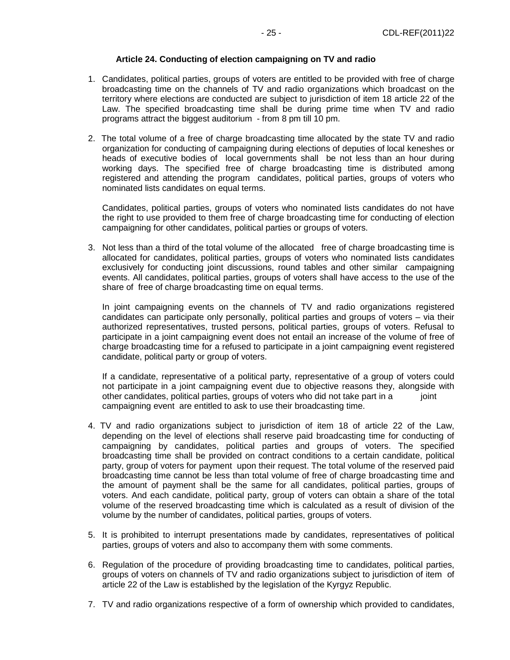## **Article 24. Conducting of election campaigning on TV and radio**

- 1. Candidates, political parties, groups of voters are entitled to be provided with free of charge broadcasting time on the channels of TV and radio organizations which broadcast on the territory where elections are conducted are subject to jurisdiction of item 18 article 22 of the Law. The specified broadcasting time shall be during prime time when TV and radio programs attract the biggest auditorium - from 8 pm till 10 pm.
- 2. The total volume of a free of charge broadcasting time allocated by the state TV and radio organization for conducting of campaigning during elections of deputies of local keneshes or heads of executive bodies of local governments shall be not less than an hour during working days. The specified free of charge broadcasting time is distributed among registered and attending the program candidates, political parties, groups of voters who nominated lists candidates on equal terms.

Candidates, political parties, groups of voters who nominated lists candidates do not have the right to use provided to them free of charge broadcasting time for conducting of election campaigning for other candidates, political parties or groups of voters.

3. Not less than a third of the total volume of the allocated free of charge broadcasting time is allocated for candidates, political parties, groups of voters who nominated lists candidates exclusively for conducting joint discussions, round tables and other similar campaigning events. All candidates, political parties, groups of voters shall have access to the use of the share of free of charge broadcasting time on equal terms.

In joint campaigning events on the channels of TV and radio organizations registered candidates can participate only personally, political parties and groups of voters – via their authorized representatives, trusted persons, political parties, groups of voters. Refusal to participate in a joint campaigning event does not entail an increase of the volume of free of charge broadcasting time for a refused to participate in a joint campaigning event registered candidate, political party or group of voters.

If a candidate, representative of a political party, representative of a group of voters could not participate in a joint campaigning event due to objective reasons they, alongside with other candidates, political parties, groups of voters who did not take part in a joint campaigning event are entitled to ask to use their broadcasting time.

- 4. TV and radio organizations subject to jurisdiction of item 18 of article 22 of the Law, depending on the level of elections shall reserve paid broadcasting time for conducting of campaigning by candidates, political parties and groups of voters. The specified broadcasting time shall be provided on contract conditions to a certain candidate, political party, group of voters for payment upon their request. The total volume of the reserved paid broadcasting time cannot be less than total volume of free of charge broadcasting time and the amount of payment shall be the same for all candidates, political parties, groups of voters. And each candidate, political party, group of voters can obtain a share of the total volume of the reserved broadcasting time which is calculated as a result of division of the volume by the number of candidates, political parties, groups of voters.
- 5. It is prohibited to interrupt presentations made by candidates, representatives of political parties, groups of voters and also to accompany them with some comments.
- 6. Regulation of the procedure of providing broadcasting time to candidates, political parties, groups of voters on channels of TV and radio organizations subject to jurisdiction of item of article 22 of the Law is established by the legislation of the Kyrgyz Republic.
- 7. TV and radio organizations respective of a form of ownership which provided to candidates,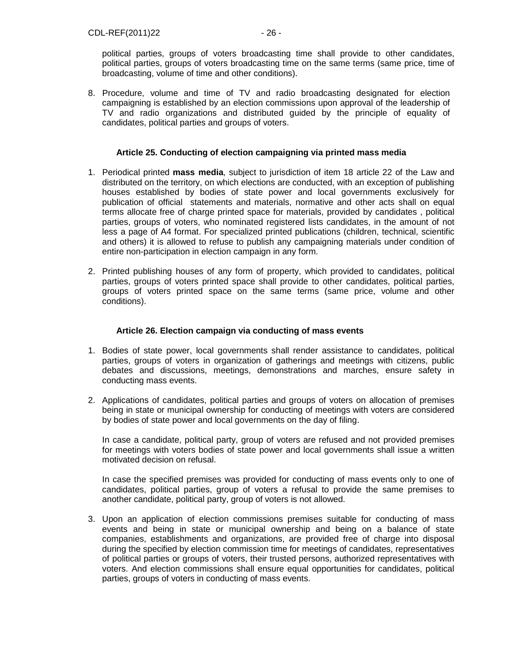political parties, groups of voters broadcasting time shall provide to other candidates, political parties, groups of voters broadcasting time on the same terms (same price, time of broadcasting, volume of time and other conditions).

8. Procedure, volume and time of TV and radio broadcasting designated for election campaigning is established by an election commissions upon approval of the leadership of TV and radio organizations and distributed guided by the principle of equality of candidates, political parties and groups of voters.

## **Article 25. Conducting of election campaigning via printed mass media**

- 1. Periodical printed **mass media**, subject to jurisdiction of item 18 article 22 of the Law and distributed on the territory, on which elections are conducted, with an exception of publishing houses established by bodies of state power and local governments exclusively for publication of official statements and materials, normative and other acts shall on equal terms allocate free of charge printed space for materials, provided by candidates , political parties, groups of voters, who nominated registered lists candidates, in the amount of not less a page of А4 format. For specialized printed publications (children, technical, scientific and others) it is allowed to refuse to publish any campaigning materials under condition of entire non-participation in election campaign in any form.
- 2. Printed publishing houses of any form of property, which provided to candidates, political parties, groups of voters printed space shall provide to other candidates, political parties, groups of voters printed space on the same terms (same price, volume and other conditions).

## **Article 26. Election campaign via conducting of mass events**

- 1. Bodies of state power, local governments shall render assistance to candidates, political parties, groups of voters in organization of gatherings and meetings with citizens, public debates and discussions, meetings, demonstrations and marches, ensure safety in conducting mass events.
- 2. Applications of candidates, political parties and groups of voters on allocation of premises being in state or municipal ownership for conducting of meetings with voters are considered by bodies of state power and local governments on the day of filing.

In case a candidate, political party, group of voters are refused and not provided premises for meetings with voters bodies of state power and local governments shall issue a written motivated decision on refusal.

In case the specified premises was provided for conducting of mass events only to one of candidates, political parties, group of voters a refusal to provide the same premises to another candidate, political party, group of voters is not allowed.

3. Upon an application of election commissions premises suitable for conducting of mass events and being in state or municipal ownership and being on a balance of state companies, establishments and organizations, are provided free of charge into disposal during the specified by election commission time for meetings of candidates, representatives of political parties or groups of voters, their trusted persons, authorized representatives with voters. And election commissions shall ensure equal opportunities for candidates, political parties, groups of voters in conducting of mass events.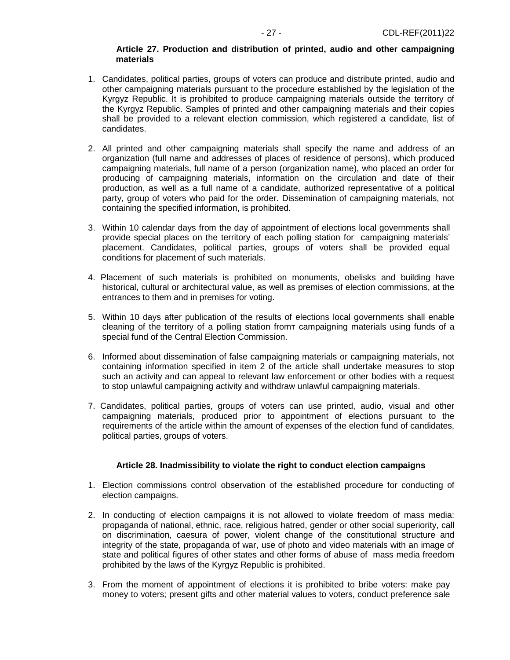#### **Article 27. Production and distribution of printed, audio and other campaigning materials**

- 1. Candidates, political parties, groups of voters can produce and distribute printed, audio and other campaigning materials pursuant to the procedure established by the legislation of the Kyrgyz Republic. It is prohibited to produce campaigning materials outside the territory of the Kyrgyz Republic. Samples of printed and other campaigning materials and their copies shall be provided to a relevant election commission, which registered a candidate, list of candidates.
- 2. All printed and other campaigning materials shall specify the name and address of an organization (full name and addresses of places of residence of persons), which produced campaigning materials, full name of a person (organization name), who placed an order for producing of campaigning materials, information on the circulation and date of their production, as well as a full name of a candidate, authorized representative of a political party, group of voters who paid for the order. Dissemination of campaigning materials, not containing the specified information, is prohibited.
- 3. Within 10 calendar days from the day of appointment of elections local governments shall provide special places on the territory of each polling station for campaigning materials' placement. Candidates, political parties, groups of voters shall be provided equal conditions for placement of such materials.
- 4. Placement of such materials is prohibited on monuments, obelisks and building have historical, cultural or architectural value, as well as premises of election commissions, at the entrances to them and in premises for voting.
- 5. Within 10 days after publication of the results of elections local governments shall enable cleaning of the territory of a polling station fromт campaigning materials using funds of a special fund of the Central Election Commission.
- 6. Informed about dissemination of false campaigning materials or campaigning materials, not containing information specified in item 2 of the article shall undertake measures to stop such an activity and can appeal to relevant law enforcement or other bodies with a request to stop unlawful campaigning activity and withdraw unlawful campaigning materials.
- 7. Candidates, political parties, groups of voters can use printed, audio, visual and other campaigning materials, produced prior to appointment of elections pursuant to the requirements of the article within the amount of expenses of the election fund of candidates, political parties, groups of voters.

#### **Article 28. Inadmissibility to violate the right to conduct election campaigns**

- 1. Election commissions control observation of the established procedure for conducting of election campaigns.
- 2. In conducting of election campaigns it is not allowed to violate freedom of mass media: propaganda of national, ethnic, race, religious hatred, gender or other social superiority, call on discrimination, caesura of power, violent change of the constitutional structure and integrity of the state, propaganda of war, use of photo and video materials with an image of state and political figures of other states and other forms of abuse of mass media freedom prohibited by the laws of the Kyrgyz Republic is prohibited.
- 3. From the moment of appointment of elections it is prohibited to bribe voters: make pay money to voters; present gifts and other material values to voters, conduct preference sale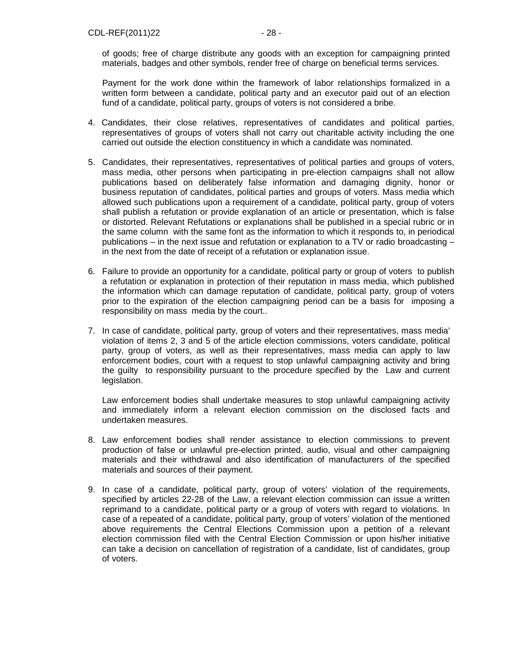of goods; free of charge distribute any goods with an exception for campaigning printed materials, badges and other symbols, render free of charge on beneficial terms services.

Payment for the work done within the framework of labor relationships formalized in a written form between a candidate, political party and an executor paid out of an election fund of a candidate, political party, groups of voters is not considered a bribe.

- 4. Candidates, their close relatives, representatives of candidates and political parties, representatives of groups of voters shall not carry out charitable activity including the one carried out outside the election constituency in which a candidate was nominated.
- 5. Candidates, their representatives, representatives of political parties and groups of voters, mass media, other persons when participating in pre-election campaigns shall not allow publications based on deliberately false information and damaging dignity, honor or business reputation of candidates, political parties and groups of voters. Mass media which allowed such publications upon a requirement of a candidate, political party, group of voters shall publish a refutation or provide explanation of an article or presentation, which is false or distorted. Relevant Refutations or explanations shall be published in a special rubric or in the same column with the same font as the information to which it responds to, in periodical publications – in the next issue and refutation or explanation to a TV or radio broadcasting – in the next from the date of receipt of a refutation or explanation issue.
- 6. Failure to provide an opportunity for a candidate, political party or group of voters to publish a refutation or explanation in protection of their reputation in mass media, which published the information which can damage reputation of candidate, political party, group of voters prior to the expiration of the election campaigning period can be a basis for imposing a responsibility on mass media by the court..
- 7. In case of candidate, political party, group of voters and their representatives, mass media' violation of items 2, 3 and 5 of the article election commissions, voters candidate, political party, group of voters, as well as their representatives, mass media can apply to law enforcement bodies, court with a request to stop unlawful campaigning activity and bring the guilty to responsibility pursuant to the procedure specified by the Law and current legislation.

Law enforcement bodies shall undertake measures to stop unlawful campaigning activity and immediately inform a relevant election commission on the disclosed facts and undertaken measures.

- 8. Law enforcement bodies shall render assistance to election commissions to prevent production of false or unlawful pre-election printed, audio, visual and other campaigning materials and their withdrawal and also identification of manufacturers of the specified materials and sources of their payment.
- 9. In case of a candidate, political party, group of voters' violation of the requirements, specified by articles 22-28 of the Law, a relevant election commission can issue a written reprimand to a candidate, political party or a group of voters with regard to violations. In case of a repeated of a candidate, political party, group of voters' violation of the mentioned above requirements the Central Elections Commission upon a petition of a relevant election commission filed with the Central Election Commission or upon his/her initiative can take a decision on cancellation of registration of a candidate, list of candidates, group of voters.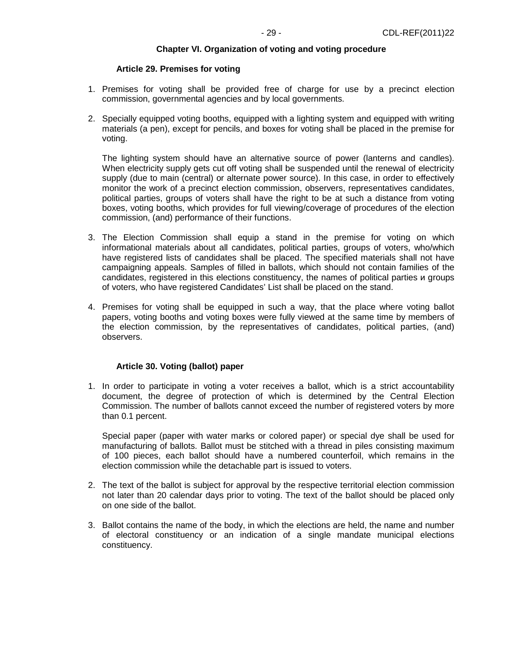#### **Chapter VI. Organization of voting and voting procedure**

#### **Article 29. Premises for voting**

- 1. Premises for voting shall be provided free of charge for use by a precinct election commission, governmental agencies and by local governments.
- 2. Specially equipped voting booths, equipped with a lighting system and equipped with writing materials (a pen), except for pencils, and boxes for voting shall be placed in the premise for voting.

The lighting system should have an alternative source of power (lanterns and candles). When electricity supply gets cut off voting shall be suspended until the renewal of electricity supply (due to main (central) or alternate power source). In this case, in order to effectively monitor the work of a precinct election commission, observers, representatives candidates, political parties, groups of voters shall have the right to be at such a distance from voting boxes, voting booths, which provides for full viewing/coverage of procedures of the election commission, (and) performance of their functions.

- 3. The Election Commission shall equip a stand in the premise for voting on which informational materials about all candidates, political parties, groups of voters, who/which have registered lists of candidates shall be placed. The specified materials shall not have campaigning appeals. Samples of filled in ballots, which should not contain families of the candidates, registered in this elections constituency, the names of political parties и groups of voters, who have registered Candidates' List shall be placed on the stand.
- 4. Premises for voting shall be equipped in such a way, that the place where voting ballot papers, voting booths and voting boxes were fully viewed at the same time by members of the election commission, by the representatives of candidates, political parties, (and) observers.

#### **Article 30. Voting (ballot) paper**

1. In order to participate in voting a voter receives a ballot, which is a strict accountability document, the degree of protection of which is determined by the Central Election Commission. The number of ballots cannot exceed the number of registered voters by more than 0.1 percent.

Special paper (paper with water marks or colored paper) or special dye shall be used for manufacturing of ballots. Ballot must be stitched with a thread in piles consisting maximum of 100 pieces, each ballot should have a numbered counterfoil, which remains in the election commission while the detachable part is issued to voters.

- 2. The text of the ballot is subject for approval by the respective territorial election commission not later than 20 calendar days prior to voting. The text of the ballot should be placed only on one side of the ballot.
- 3. Ballot contains the name of the body, in which the elections are held, the name and number of electoral constituency or an indication of a single mandate municipal elections constituency.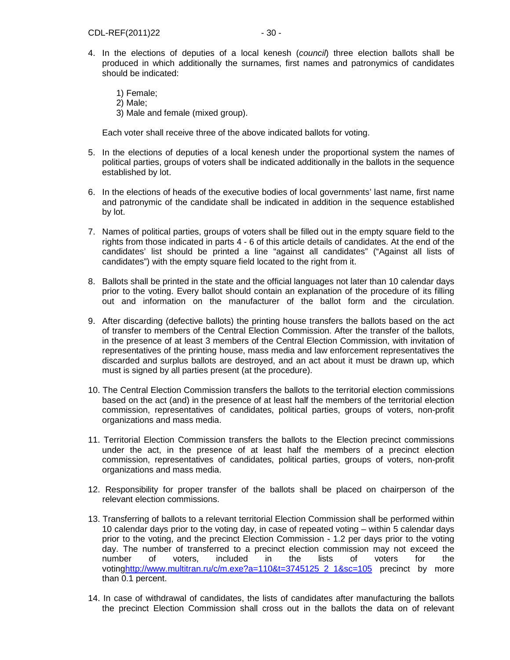- 4. In the elections of deputies of a local kenesh (council) three election ballots shall be produced in which additionally the surnames, first names and patronymics of candidates should be indicated:
	- 1) Female; 2) Male; 3) Male and female (mixed group).

Each voter shall receive three of the above indicated ballots for voting.

- 5. In the elections of deputies of a local kenesh under the proportional system the names of political parties, groups of voters shall be indicated additionally in the ballots in the sequence established by lot.
- 6. In the elections of heads of the executive bodies of local governments' last name, first name and patronymic of the candidate shall be indicated in addition in the sequence established by lot.
- 7. Names of political parties, groups of voters shall be filled out in the empty square field to the rights from those indicated in parts 4 - 6 of this article details of candidates. At the end of the candidates' list should be printed a line "against all candidates" ("Against all lists of candidates") with the empty square field located to the right from it.
- 8. Ballots shall be printed in the state and the official languages not later than 10 calendar days prior to the voting. Every ballot should contain an explanation of the procedure of its filling out and information on the manufacturer of the ballot form and the circulation.
- 9. After discarding (defective ballots) the printing house transfers the ballots based on the act of transfer to members of the Central Election Commission. After the transfer of the ballots, in the presence of at least 3 members of the Central Election Commission, with invitation of representatives of the printing house, mass media and law enforcement representatives the discarded and surplus ballots are destroyed, and an act about it must be drawn up, which must is signed by all parties present (at the procedure).
- 10. The Central Election Commission transfers the ballots to the territorial election commissions based on the act (and) in the presence of at least half the members of the territorial election commission, representatives of candidates, political parties, groups of voters, non-profit organizations and mass media.
- 11. Territorial Election Commission transfers the ballots to the Election precinct commissions under the act, in the presence of at least half the members of a precinct election commission, representatives of candidates, political parties, groups of voters, non-profit organizations and mass media.
- 12. Responsibility for proper transfer of the ballots shall be placed on chairperson of the relevant election commissions.
- 13. Transferring of ballots to a relevant territorial Election Commission shall be performed within 10 calendar days prior to the voting day, in case of repeated voting – within 5 calendar days prior to the voting, and the precinct Election Commission - 1.2 per days prior to the voting day. The number of transferred to a precinct election commission may not exceed the number of voters, included in the lists of voters for the votinghttp://www.multitran.ru/c/m.exe?a=110&t=3745125\_2\_1&sc=105 precinct by more than 0.1 percent.
- 14. In case of withdrawal of candidates, the lists of candidates after manufacturing the ballots the precinct Election Commission shall cross out in the ballots the data on of relevant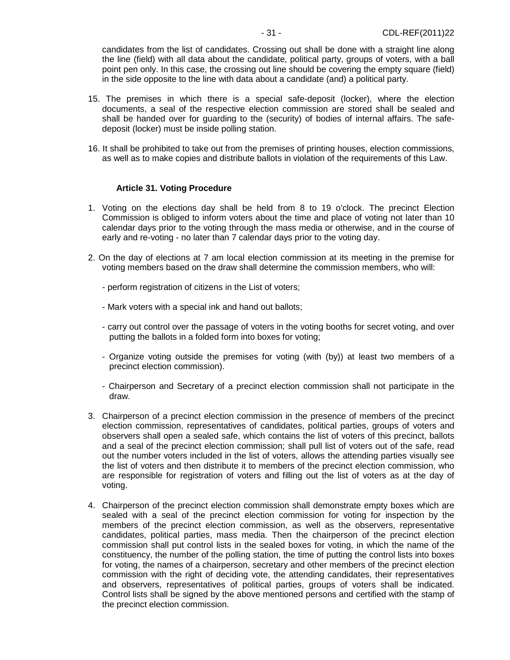candidates from the list of candidates. Crossing out shall be done with a straight line along the line (field) with all data about the candidate, political party, groups of voters, with a ball point pen only. In this case, the crossing out line should be covering the empty square (field) in the side opposite to the line with data about a candidate (and) a political party.

- 15. The premises in which there is a special safe-deposit (locker), where the election documents, a seal of the respective election commission are stored shall be sealed and shall be handed over for guarding to the (security) of bodies of internal affairs. The safedeposit (locker) must be inside polling station.
- 16. It shall be prohibited to take out from the premises of printing houses, election commissions, as well as to make copies and distribute ballots in violation of the requirements of this Law.

#### **Article 31. Voting Procedure**

- 1. Voting on the elections day shall be held from 8 to 19 o'clock. The precinct Election Commission is obliged to inform voters about the time and place of voting not later than 10 calendar days prior to the voting through the mass media or otherwise, and in the course of early and re-voting - no later than 7 calendar days prior to the voting day.
- 2. On the day of elections at 7 am local election commission at its meeting in the premise for voting members based on the draw shall determine the commission members, who will:
	- perform registration of citizens in the List of voters;
	- Mark voters with a special ink and hand out ballots;
	- carry out control over the passage of voters in the voting booths for secret voting, and over putting the ballots in a folded form into boxes for voting;
	- Organize voting outside the premises for voting (with (by)) at least two members of a precinct election commission).
	- Chairperson and Secretary of a precinct election commission shall not participate in the draw.
- 3. Chairperson of a precinct election commission in the presence of members of the precinct election commission, representatives of candidates, political parties, groups of voters and observers shall open a sealed safe, which contains the list of voters of this precinct, ballots and a seal of the precinct election commission; shall pull list of voters out of the safe, read out the number voters included in the list of voters, allows the attending parties visually see the list of voters and then distribute it to members of the precinct election commission, who are responsible for registration of voters and filling out the list of voters as at the day of voting.
- 4. Chairperson of the precinct election commission shall demonstrate empty boxes which are sealed with a seal of the precinct election commission for voting for inspection by the members of the precinct election commission, as well as the observers, representative candidates, political parties, mass media. Then the chairperson of the precinct election commission shall put control lists in the sealed boxes for voting, in which the name of the constituency, the number of the polling station, the time of putting the control lists into boxes for voting, the names of a chairperson, secretary and other members of the precinct election commission with the right of deciding vote, the attending candidates, their representatives and observers, representatives of political parties, groups of voters shall be indicated. Control lists shall be signed by the above mentioned persons and certified with the stamp of the precinct election commission.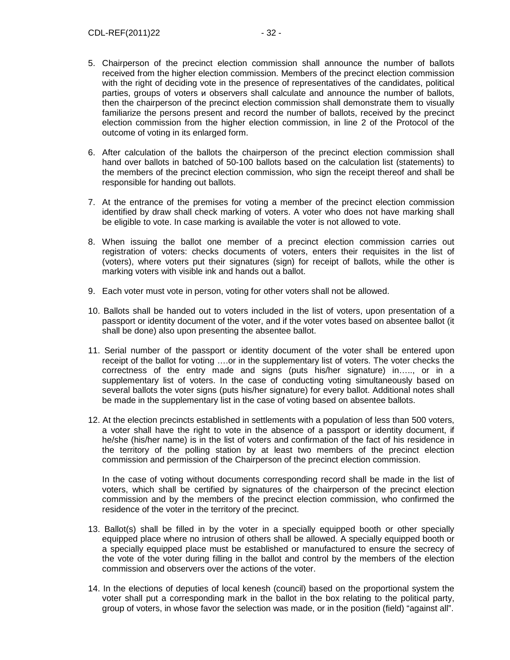- 5. Chairperson of the precinct election commission shall announce the number of ballots received from the higher election commission. Members of the precinct election commission with the right of deciding vote in the presence of representatives of the candidates, political parties, groups of voters и observers shall calculate and announce the number of ballots, then the chairperson of the precinct election commission shall demonstrate them to visually familiarize the persons present and record the number of ballots, received by the precinct election commission from the higher election commission, in line 2 of the Protocol of the outcome of voting in its enlarged form.
- 6. After calculation of the ballots the chairperson of the precinct election commission shall hand over ballots in batched of 50-100 ballots based on the calculation list (statements) to the members of the precinct election commission, who sign the receipt thereof and shall be responsible for handing out ballots.
- 7. At the entrance of the premises for voting a member of the precinct election commission identified by draw shall check marking of voters. A voter who does not have marking shall be eligible to vote. In case marking is available the voter is not allowed to vote.
- 8. When issuing the ballot one member of a precinct election commission carries out registration of voters: checks documents of voters, enters their requisites in the list of (voters), where voters put their signatures (sign) for receipt of ballots, while the other is marking voters with visible ink and hands out a ballot.
- 9. Each voter must vote in person, voting for other voters shall not be allowed.
- 10. Ballots shall be handed out to voters included in the list of voters, upon presentation of a passport or identity document of the voter, and if the voter votes based on absentee ballot (it shall be done) also upon presenting the absentee ballot.
- 11. Serial number of the passport or identity document of the voter shall be entered upon receipt of the ballot for voting ….or in the supplementary list of voters. The voter checks the correctness of the entry made and signs (puts his/her signature) in….., or in a supplementary list of voters. In the case of conducting voting simultaneously based on several ballots the voter signs (puts his/her signature) for every ballot. Additional notes shall be made in the supplementary list in the case of voting based on absentee ballots.
- 12. At the election precincts established in settlements with a population of less than 500 voters, a voter shall have the right to vote in the absence of a passport or identity document, if he/she (his/her name) is in the list of voters and confirmation of the fact of his residence in the territory of the polling station by at least two members of the precinct election commission and permission of the Chairperson of the precinct election commission.

In the case of voting without documents corresponding record shall be made in the list of voters, which shall be certified by signatures of the chairperson of the precinct election commission and by the members of the precinct election commission, who confirmed the residence of the voter in the territory of the precinct.

- 13. Ballot(s) shall be filled in by the voter in a specially equipped booth or other specially equipped place where no intrusion of others shall be allowed. A specially equipped booth or a specially equipped place must be established or manufactured to ensure the secrecy of the vote of the voter during filling in the ballot and control by the members of the election commission and observers over the actions of the voter.
- 14. In the elections of deputies of local kenesh (council) based on the proportional system the voter shall put a corresponding mark in the ballot in the box relating to the political party, group of voters, in whose favor the selection was made, or in the position (field) "against all".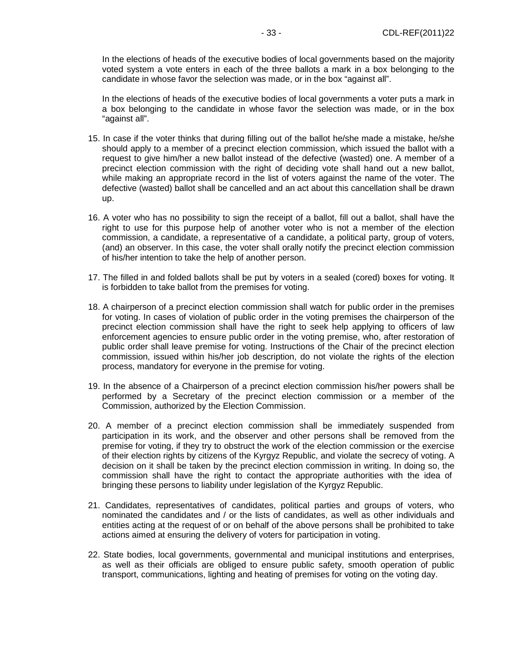In the elections of heads of the executive bodies of local governments based on the majority voted system a vote enters in each of the three ballots a mark in a box belonging to the candidate in whose favor the selection was made, or in the box "against all".

In the elections of heads of the executive bodies of local governments a voter puts a mark in a box belonging to the candidate in whose favor the selection was made, or in the box "against all".

- 15. In case if the voter thinks that during filling out of the ballot he/she made a mistake, he/she should apply to a member of a precinct election commission, which issued the ballot with a request to give him/her a new ballot instead of the defective (wasted) one. A member of a precinct election commission with the right of deciding vote shall hand out a new ballot, while making an appropriate record in the list of voters against the name of the voter. The defective (wasted) ballot shall be cancelled and an act about this cancellation shall be drawn up.
- 16. A voter who has no possibility to sign the receipt of a ballot, fill out a ballot, shall have the right to use for this purpose help of another voter who is not a member of the election commission, a candidate, a representative of a candidate, a political party, group of voters, (and) an observer. In this case, the voter shall orally notify the precinct election commission of his/her intention to take the help of another person.
- 17. The filled in and folded ballots shall be put by voters in a sealed (cored) boxes for voting. It is forbidden to take ballot from the premises for voting.
- 18. A chairperson of a precinct election commission shall watch for public order in the premises for voting. In cases of violation of public order in the voting premises the chairperson of the precinct election commission shall have the right to seek help applying to officers of law enforcement agencies to ensure public order in the voting premise, who, after restoration of public order shall leave premise for voting. Instructions of the Chair of the precinct election commission, issued within his/her job description, do not violate the rights of the election process, mandatory for everyone in the premise for voting.
- 19. In the absence of a Chairperson of a precinct election commission his/her powers shall be performed by a Secretary of the precinct election commission or a member of the Commission, authorized by the Election Commission.
- 20. A member of a precinct election commission shall be immediately suspended from participation in its work, and the observer and other persons shall be removed from the premise for voting, if they try to obstruct the work of the election commission or the exercise of their election rights by citizens of the Kyrgyz Republic, and violate the secrecy of voting. A decision on it shall be taken by the precinct election commission in writing. In doing so, the commission shall have the right to contact the appropriate authorities with the idea of bringing these persons to liability under legislation of the Kyrgyz Republic.
- 21. Candidates, representatives of candidates, political parties and groups of voters, who nominated the candidates and / or the lists of candidates, as well as other individuals and entities acting at the request of or on behalf of the above persons shall be prohibited to take actions aimed at ensuring the delivery of voters for participation in voting.
- 22. State bodies, local governments, governmental and municipal institutions and enterprises, as well as their officials are obliged to ensure public safety, smooth operation of public transport, communications, lighting and heating of premises for voting on the voting day.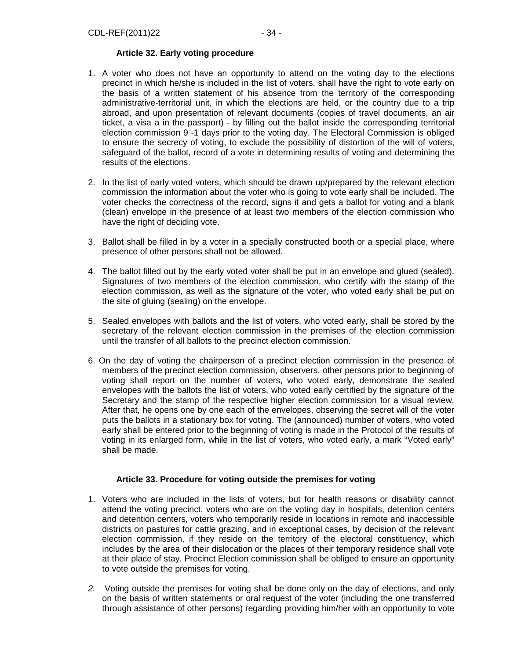## **Article 32. Early voting procedure**

- 1. A voter who does not have an opportunity to attend on the voting day to the elections precinct in which he/she is included in the list of voters, shall have the right to vote early on the basis of a written statement of his absence from the territory of the corresponding administrative-territorial unit, in which the elections are held, or the country due to a trip abroad, and upon presentation of relevant documents (copies of travel documents, an air ticket, a visa a in the passport) - by filling out the ballot inside the corresponding territorial election commission 9 -1 days prior to the voting day. The Electoral Commission is obliged to ensure the secrecy of voting, to exclude the possibility of distortion of the will of voters, safeguard of the ballot, record of a vote in determining results of voting and determining the results of the elections.
- 2. In the list of early voted voters, which should be drawn up/prepared by the relevant election commission the information about the voter who is going to vote early shall be included. The voter checks the correctness of the record, signs it and gets a ballot for voting and a blank (clean) envelope in the presence of at least two members of the election commission who have the right of deciding vote.
- 3. Ballot shall be filled in by a voter in a specially constructed booth or a special place, where presence of other persons shall not be allowed.
- 4. The ballot filled out by the early voted voter shall be put in an envelope and glued (sealed). Signatures of two members of the election commission, who certify with the stamp of the election commission, as well as the signature of the voter, who voted early shall be put on the site of gluing (sealing) on the envelope.
- 5. Sealed envelopes with ballots and the list of voters, who voted early, shall be stored by the secretary of the relevant election commission in the premises of the election commission until the transfer of all ballots to the precinct election commission.
- 6. On the day of voting the chairperson of a precinct election commission in the presence of members of the precinct election commission, observers, other persons prior to beginning of voting shall report on the number of voters, who voted early, demonstrate the sealed envelopes with the ballots the list of voters, who voted early certified by the signature of the Secretary and the stamp of the respective higher election commission for a visual review. After that, he opens one by one each of the envelopes, observing the secret will of the voter puts the ballots in a stationary box for voting. The (announced) number of voters, who voted early shall be entered prior to the beginning of voting is made in the Protocol of the results of voting in its enlarged form, while in the list of voters, who voted early, a mark "Voted early" shall be made.

## **Article 33. Procedure for voting outside the premises for voting**

- 1.Voters who are included in the lists of voters, but for health reasons or disability cannot attend the voting precinct, voters who are on the voting day in hospitals, detention centers and detention centers, voters who temporarily reside in locations in remote and inaccessible districts on pastures for cattle grazing, and in exceptional cases, by decision of the relevant election commission, if they reside on the territory of the electoral constituency, which includes by the area of their dislocation or the places of their temporary residence shall vote at their place of stay. Precinct Election commission shall be obliged to ensure an opportunity to vote outside the premises for voting.
- 2. Voting outside the premises for voting shall be done only on the day of elections, and only on the basis of written statements or oral request of the voter (including the one transferred through assistance of other persons) regarding providing him/her with an opportunity to vote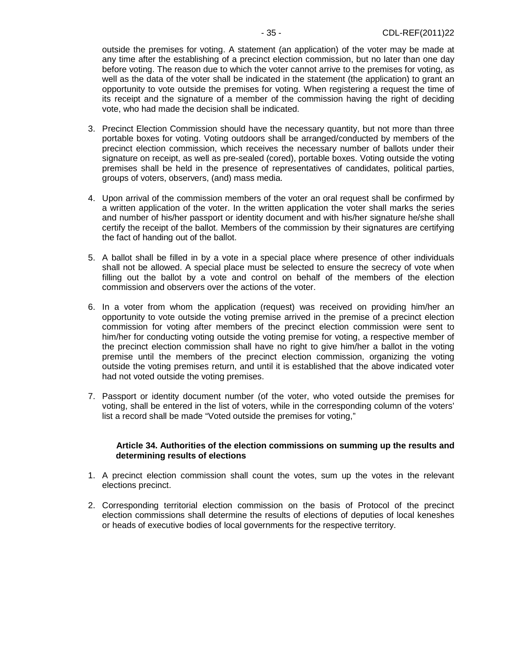outside the premises for voting. A statement (an application) of the voter may be made at any time after the establishing of a precinct election commission, but no later than one day before voting. The reason due to which the voter cannot arrive to the premises for voting, as well as the data of the voter shall be indicated in the statement (the application) to grant an opportunity to vote outside the premises for voting. When registering a request the time of its receipt and the signature of a member of the commission having the right of deciding vote, who had made the decision shall be indicated.

- 3. Precinct Election Commission should have the necessary quantity, but not more than three portable boxes for voting. Voting outdoors shall be arranged/conducted by members of the precinct election commission, which receives the necessary number of ballots under their signature on receipt, as well as pre-sealed (cored), portable boxes. Voting outside the voting premises shall be held in the presence of representatives of candidates, political parties, groups of voters, observers, (and) mass media.
- 4. Upon arrival of the commission members of the voter an oral request shall be confirmed by a written application of the voter. In the written application the voter shall marks the series and number of his/her passport or identity document and with his/her signature he/she shall certify the receipt of the ballot. Members of the commission by their signatures are certifying the fact of handing out of the ballot.
- 5. A ballot shall be filled in by a vote in a special place where presence of other individuals shall not be allowed. A special place must be selected to ensure the secrecy of vote when filling out the ballot by a vote and control on behalf of the members of the election commission and observers over the actions of the voter.
- 6. In a voter from whom the application (request) was received on providing him/her an opportunity to vote outside the voting premise arrived in the premise of a precinct election commission for voting after members of the precinct election commission were sent to him/her for conducting voting outside the voting premise for voting, a respective member of the precinct election commission shall have no right to give him/her a ballot in the voting premise until the members of the precinct election commission, organizing the voting outside the voting premises return, and until it is established that the above indicated voter had not voted outside the voting premises.
- 7. Passport or identity document number (of the voter, who voted outside the premises for voting, shall be entered in the list of voters, while in the corresponding column of the voters' list a record shall be made "Voted outside the premises for voting,"

#### **Article 34. Authorities of the election commissions on summing up the results and determining results of elections**

- 1. A precinct election commission shall count the votes, sum up the votes in the relevant elections precinct.
- 2. Corresponding territorial election commission on the basis of Protocol of the precinct election commissions shall determine the results of elections of deputies of local keneshes or heads of executive bodies of local governments for the respective territory.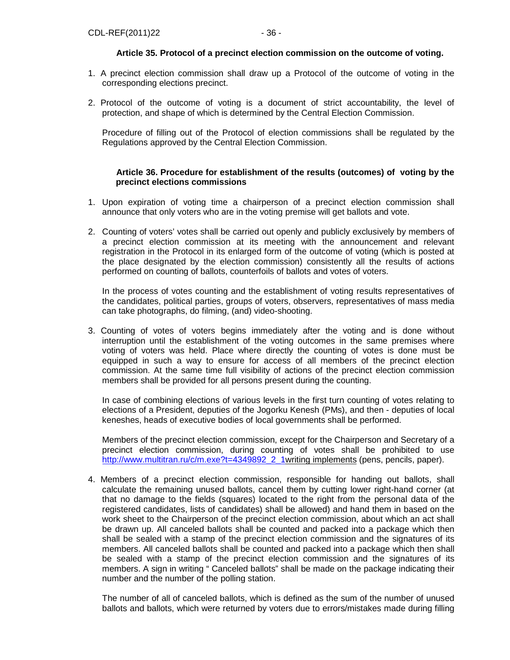## **Article 35. Protocol of a precinct election commission on the outcome of voting.**

- 1. A precinct election commission shall draw up a Protocol of the outcome of voting in the corresponding elections precinct.
- 2. Protocol of the outcome of voting is a document of strict accountability, the level of protection, and shape of which is determined by the Central Election Commission.

 Procedure of filling out of the Protocol of election commissions shall be regulated by the Regulations approved by the Central Election Commission.

## **Article 36. Procedure for establishment of the results (outcomes) of voting by the precinct elections commissions**

- 1. Upon expiration of voting time a chairperson of a precinct election commission shall announce that only voters who are in the voting premise will get ballots and vote.
- 2. Counting of voters' votes shall be carried out openly and publicly exclusively by members of a precinct election commission at its meeting with the announcement and relevant registration in the Protocol in its enlarged form of the outcome of voting (which is posted at the place designated by the election commission) consistently all the results of actions performed on counting of ballots, counterfoils of ballots and votes of voters.

In the process of votes counting and the establishment of voting results representatives of the candidates, political parties, groups of voters, observers, representatives of mass media can take photographs, do filming, (and) video-shooting.

3. Counting of votes of voters begins immediately after the voting and is done without interruption until the establishment of the voting outcomes in the same premises where voting of voters was held. Place where directly the counting of votes is done must be equipped in such a way to ensure for access of all members of the precinct election commission. At the same time full visibility of actions of the precinct election commission members shall be provided for all persons present during the counting.

In case of combining elections of various levels in the first turn counting of votes relating to elections of a President, deputies of the Jogorku Kenesh (PMs), and then - deputies of local keneshes, heads of executive bodies of local governments shall be performed.

Members of the precinct election commission, except for the Chairperson and Secretary of a precinct election commission, during counting of votes shall be prohibited to use http://www.multitran.ru/c/m.exe?t=4349892\_2\_1writing implements (pens, pencils, paper).

4. Members of a precinct election commission, responsible for handing out ballots, shall calculate the remaining unused ballots, cancel them by cutting lower right-hand corner (at that no damage to the fields (squares) located to the right from the personal data of the registered candidates, lists of candidates) shall be allowed) and hand them in based on the work sheet to the Chairperson of the precinct election commission, about which an act shall be drawn up. All canceled ballots shall be counted and packed into a package which then shall be sealed with a stamp of the precinct election commission and the signatures of its members. All canceled ballots shall be counted and packed into a package which then shall be sealed with a stamp of the precinct election commission and the signatures of its members. A sign in writing " Canceled ballots" shall be made on the package indicating their number and the number of the polling station.

The number of all of canceled ballots, which is defined as the sum of the number of unused ballots and ballots, which were returned by voters due to errors/mistakes made during filling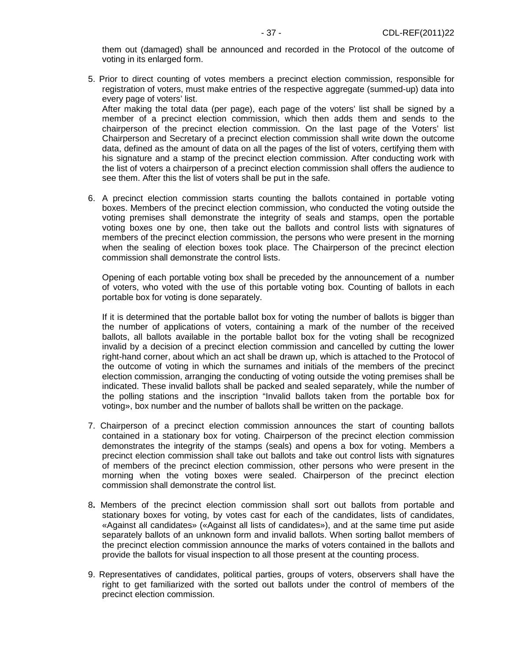them out (damaged) shall be announced and recorded in the Protocol of the outcome of voting in its enlarged form.

5. Prior to direct counting of votes members a precinct election commission, responsible for registration of voters, must make entries of the respective aggregate (summed-up) data into every page of voters' list.

After making the total data (per page), each page of the voters' list shall be signed by a member of a precinct election commission, which then adds them and sends to the chairperson of the precinct election commission. On the last page of the Voters' list Chairperson and Secretary of a precinct election commission shall write down the outcome data, defined as the amount of data on all the pages of the list of voters, certifying them with his signature and a stamp of the precinct election commission. After conducting work with the list of voters a chairperson of a precinct election commission shall offers the audience to see them. After this the list of voters shall be put in the safe.

6. A precinct election commission starts counting the ballots contained in portable voting boxes. Members of the precinct election commission, who conducted the voting outside the voting premises shall demonstrate the integrity of seals and stamps, open the portable voting boxes one by one, then take out the ballots and control lists with signatures of members of the precinct election commission, the persons who were present in the morning when the sealing of election boxes took place. The Chairperson of the precinct election commission shall demonstrate the control lists.

Opening of each portable voting box shall be preceded by the announcement of a number of voters, who voted with the use of this portable voting box. Counting of ballots in each portable box for voting is done separately.

If it is determined that the portable ballot box for voting the number of ballots is bigger than the number of applications of voters, containing a mark of the number of the received ballots, all ballots available in the portable ballot box for the voting shall be recognized invalid by a decision of a precinct election commission and cancelled by cutting the lower right-hand corner, about which an act shall be drawn up, which is attached to the Protocol of the outcome of voting in which the surnames and initials of the members of the precinct election commission, arranging the conducting of voting outside the voting premises shall be indicated. These invalid ballots shall be packed and sealed separately, while the number of the polling stations and the inscription "Invalid ballots taken from the portable box for voting», box number and the number of ballots shall be written on the package.

- 7. Chairperson of a precinct election commission announces the start of counting ballots contained in a stationary box for voting. Chairperson of the precinct election commission demonstrates the integrity of the stamps (seals) and opens a box for voting. Members a precinct election commission shall take out ballots and take out control lists with signatures of members of the precinct election commission, other persons who were present in the morning when the voting boxes were sealed. Chairperson of the precinct election commission shall demonstrate the control list.
- 8**.** Members of the precinct election commission shall sort out ballots from portable and stationary boxes for voting, by votes cast for each of the candidates, lists of candidates, «Against all candidates» («Against all lists of candidates»), and at the same time put aside separately ballots of an unknown form and invalid ballots. When sorting ballot members of the precinct election commission announce the marks of voters contained in the ballots and provide the ballots for visual inspection to all those present at the counting process.
- 9. Representatives of candidates, political parties, groups of voters, observers shall have the right to get familiarized with the sorted out ballots under the control of members of the precinct election commission.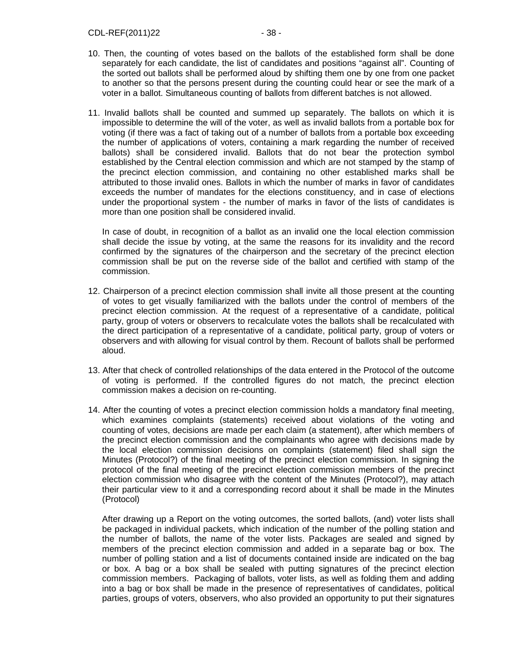- 10. Then, the counting of votes based on the ballots of the established form shall be done separately for each candidate, the list of candidates and positions "against all". Counting of the sorted out ballots shall be performed aloud by shifting them one by one from one packet to another so that the persons present during the counting could hear or see the mark of a voter in a ballot. Simultaneous counting of ballots from different batches is not allowed.
- 11. Invalid ballots shall be counted and summed up separately. The ballots on which it is impossible to determine the will of the voter, as well as invalid ballots from a portable box for voting (if there was a fact of taking out of a number of ballots from a portable box exceeding the number of applications of voters, containing a mark regarding the number of received ballots) shall be considered invalid. Ballots that do not bear the protection symbol established by the Central election commission and which are not stamped by the stamp of the precinct election commission, and containing no other established marks shall be attributed to those invalid ones. Ballots in which the number of marks in favor of candidates exceeds the number of mandates for the elections constituency, and in case of elections under the proportional system - the number of marks in favor of the lists of candidates is more than one position shall be considered invalid.

In case of doubt, in recognition of a ballot as an invalid one the local election commission shall decide the issue by voting, at the same the reasons for its invalidity and the record confirmed by the signatures of the chairperson and the secretary of the precinct election commission shall be put on the reverse side of the ballot and certified with stamp of the commission.

- 12. Chairperson of a precinct election commission shall invite all those present at the counting of votes to get visually familiarized with the ballots under the control of members of the precinct election commission. At the request of a representative of a candidate, political party, group of voters or observers to recalculate votes the ballots shall be recalculated with the direct participation of a representative of a candidate, political party, group of voters or observers and with allowing for visual control by them. Recount of ballots shall be performed aloud.
- 13. After that check of controlled relationships of the data entered in the Protocol of the outcome of voting is performed. If the controlled figures do not match, the precinct election commission makes a decision on re-counting.
- 14. After the counting of votes a precinct election commission holds a mandatory final meeting, which examines complaints (statements) received about violations of the voting and counting of votes, decisions are made per each claim (a statement), after which members of the precinct election commission and the complainants who agree with decisions made by the local election commission decisions on complaints (statement) filed shall sign the Minutes (Protocol?) of the final meeting of the precinct election commission. In signing the protocol of the final meeting of the precinct election commission members of the precinct election commission who disagree with the content of the Minutes (Protocol?), may attach their particular view to it and a corresponding record about it shall be made in the Minutes (Protocol)

 After drawing up a Report on the voting outcomes, the sorted ballots, (and) voter lists shall be packaged in individual packets, which indication of the number of the polling station and the number of ballots, the name of the voter lists. Packages are sealed and signed by members of the precinct election commission and added in a separate bag or box. The number of polling station and a list of documents contained inside are indicated on the bag or box. A bag or a box shall be sealed with putting signatures of the precinct election commission members. Packaging of ballots, voter lists, as well as folding them and adding into a bag or box shall be made in the presence of representatives of candidates, political parties, groups of voters, observers, who also provided an opportunity to put their signatures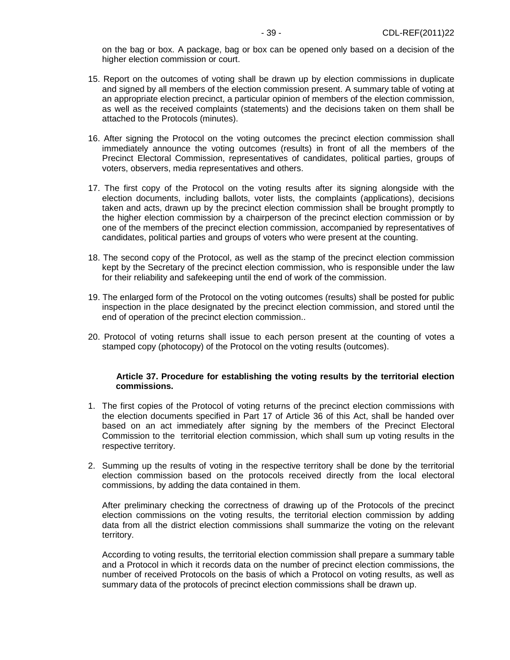on the bag or box. A package, bag or box can be opened only based on a decision of the higher election commission or court.

- 15. Report on the outcomes of voting shall be drawn up by election commissions in duplicate and signed by all members of the election commission present. A summary table of voting at an appropriate election precinct, a particular opinion of members of the election commission, as well as the received complaints (statements) and the decisions taken on them shall be attached to the Protocols (minutes).
- 16. After signing the Protocol on the voting outcomes the precinct election commission shall immediately announce the voting outcomes (results) in front of all the members of the Precinct Electoral Commission, representatives of candidates, political parties, groups of voters, observers, media representatives and others.
- 17. The first copy of the Protocol on the voting results after its signing alongside with the election documents, including ballots, voter lists, the complaints (applications), decisions taken and acts, drawn up by the precinct election commission shall be brought promptly to the higher election commission by a chairperson of the precinct election commission or by one of the members of the precinct election commission, accompanied by representatives of candidates, political parties and groups of voters who were present at the counting.
- 18. The second copy of the Protocol, as well as the stamp of the precinct election commission kept by the Secretary of the precinct election commission, who is responsible under the law for their reliability and safekeeping until the end of work of the commission.
- 19. The enlarged form of the Protocol on the voting outcomes (results) shall be posted for public inspection in the place designated by the precinct election commission, and stored until the end of operation of the precinct election commission..
- 20. Protocol of voting returns shall issue to each person present at the counting of votes a stamped copy (photocopy) of the Protocol on the voting results (outcomes).

#### **Article 37. Procedure for establishing the voting results by the territorial election commissions.**

- 1. The first copies of the Protocol of voting returns of the precinct election commissions with the election documents specified in Part 17 of Article 36 of this Act, shall be handed over based on an act immediately after signing by the members of the Precinct Electoral Commission to the territorial election commission, which shall sum up voting results in the respective territory.
- 2. Summing up the results of voting in the respective territory shall be done by the territorial election commission based on the protocols received directly from the local electoral commissions, by adding the data contained in them.

After preliminary checking the correctness of drawing up of the Protocols of the precinct election commissions on the voting results, the territorial election commission by adding data from all the district election commissions shall summarize the voting on the relevant territory.

According to voting results, the territorial election commission shall prepare a summary table and a Protocol in which it records data on the number of precinct election commissions, the number of received Protocols on the basis of which a Protocol on voting results, as well as summary data of the protocols of precinct election commissions shall be drawn up.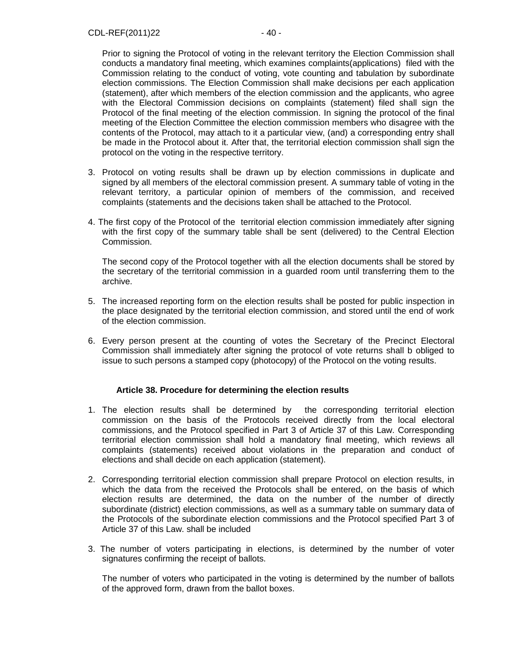Prior to signing the Protocol of voting in the relevant territory the Election Commission shall conducts a mandatory final meeting, which examines complaints(applications) filed with the Commission relating to the conduct of voting, vote counting and tabulation by subordinate election commissions. The Election Commission shall make decisions per each application (statement), after which members of the election commission and the applicants, who agree with the Electoral Commission decisions on complaints (statement) filed shall sign the Protocol of the final meeting of the election commission. In signing the protocol of the final meeting of the Election Committee the election commission members who disagree with the contents of the Protocol, may attach to it a particular view, (and) a corresponding entry shall be made in the Protocol about it. After that, the territorial election commission shall sign the protocol on the voting in the respective territory.

- 3. Protocol on voting results shall be drawn up by election commissions in duplicate and signed by all members of the electoral commission present. A summary table of voting in the relevant territory, a particular opinion of members of the commission, and received complaints (statements and the decisions taken shall be attached to the Protocol.
- 4. The first copy of the Protocol of the territorial election commission immediately after signing with the first copy of the summary table shall be sent (delivered) to the Central Election Commission.

The second copy of the Protocol together with all the election documents shall be stored by the secretary of the territorial commission in a guarded room until transferring them to the archive.

- 5. The increased reporting form on the election results shall be posted for public inspection in the place designated by the territorial election commission, and stored until the end of work of the election commission.
- 6. Every person present at the counting of votes the Secretary of the Precinct Electoral Commission shall immediately after signing the protocol of vote returns shall b obliged to issue to such persons a stamped copy (photocopy) of the Protocol on the voting results.

## **Article 38. Procedure for determining the election results**

- 1. The election results shall be determined by the corresponding territorial election commission on the basis of the Protocols received directly from the local electoral commissions, and the Protocol specified in Part 3 of Article 37 of this Law. Corresponding territorial election commission shall hold a mandatory final meeting, which reviews all complaints (statements) received about violations in the preparation and conduct of elections and shall decide on each application (statement).
- 2. Corresponding territorial election commission shall prepare Protocol on election results, in which the data from the received the Protocols shall be entered, on the basis of which election results are determined, the data on the number of the number of directly subordinate (district) election commissions, as well as a summary table on summary data of the Protocols of the subordinate election commissions and the Protocol specified Part 3 of Article 37 of this Law. shall be included
- 3. The number of voters participating in elections, is determined by the number of voter signatures confirming the receipt of ballots.

The number of voters who participated in the voting is determined by the number of ballots of the approved form, drawn from the ballot boxes.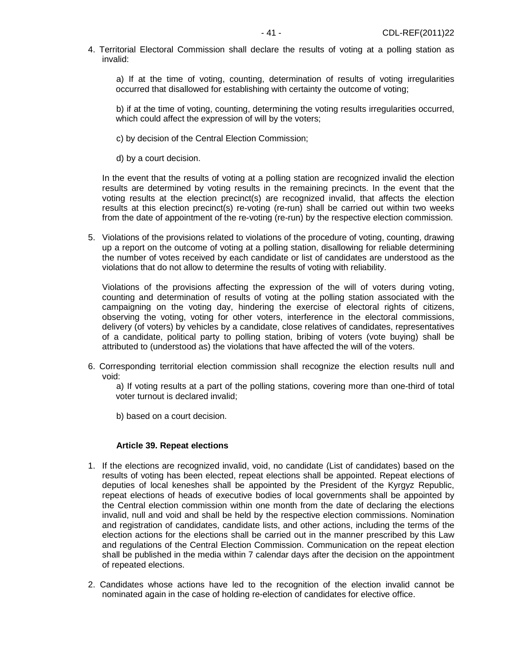4. Territorial Electoral Commission shall declare the results of voting at a polling station as invalid:

a) If at the time of voting, counting, determination of results of voting irregularities occurred that disallowed for establishing with certainty the outcome of voting;

b) if at the time of voting, counting, determining the voting results irregularities occurred, which could affect the expression of will by the voters;

- c) by decision of the Central Election Commission;
- d) by a court decision.

In the event that the results of voting at a polling station are recognized invalid the election results are determined by voting results in the remaining precincts. In the event that the voting results at the election precinct(s) are recognized invalid, that affects the election results at this election precinct(s) re-voting (re-run) shall be carried out within two weeks from the date of appointment of the re-voting (re-run) by the respective election commission.

5. Violations of the provisions related to violations of the procedure of voting, counting, drawing up a report on the outcome of voting at a polling station, disallowing for reliable determining the number of votes received by each candidate or list of candidates are understood as the violations that do not allow to determine the results of voting with reliability.

Violations of the provisions affecting the expression of the will of voters during voting, counting and determination of results of voting at the polling station associated with the campaigning on the voting day, hindering the exercise of electoral rights of citizens, observing the voting, voting for other voters, interference in the electoral commissions, delivery (of voters) by vehicles by a candidate, close relatives of candidates, representatives of a candidate, political party to polling station, bribing of voters (vote buying) shall be attributed to (understood as) the violations that have affected the will of the voters.

6. Corresponding territorial election commission shall recognize the election results null and void:

a) If voting results at a part of the polling stations, covering more than one-third of total voter turnout is declared invalid;

b) based on a court decision.

#### **Article 39. Repeat elections**

- 1. If the elections are recognized invalid, void, no candidate (List of candidates) based on the results of voting has been elected, repeat elections shall be appointed. Repeat elections of deputies of local keneshes shall be appointed by the President of the Kyrgyz Republic, repeat elections of heads of executive bodies of local governments shall be appointed by the Central election commission within one month from the date of declaring the elections invalid, null and void and shall be held by the respective election commissions. Nomination and registration of candidates, candidate lists, and other actions, including the terms of the election actions for the elections shall be carried out in the manner prescribed by this Law and regulations of the Central Election Commission. Communication on the repeat election shall be published in the media within 7 calendar days after the decision on the appointment of repeated elections.
- 2. Candidates whose actions have led to the recognition of the election invalid cannot be nominated again in the case of holding re-election of candidates for elective office.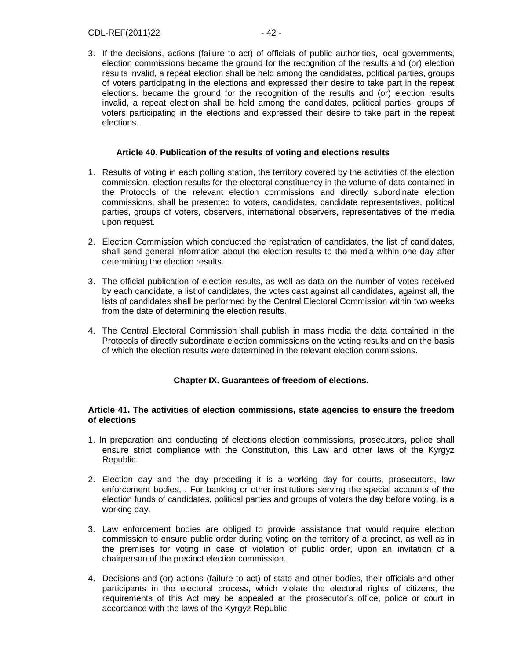3. If the decisions, actions (failure to act) of officials of public authorities, local governments, election commissions became the ground for the recognition of the results and (or) election results invalid, a repeat election shall be held among the candidates, political parties, groups of voters participating in the elections and expressed their desire to take part in the repeat elections. became the ground for the recognition of the results and (or) election results invalid, a repeat election shall be held among the candidates, political parties, groups of voters participating in the elections and expressed their desire to take part in the repeat elections.

#### **Article 40. Publication of the results of voting and elections results**

- 1. Results of voting in each polling station, the territory covered by the activities of the election commission, election results for the electoral constituency in the volume of data contained in the Protocols of the relevant election commissions and directly subordinate election commissions, shall be presented to voters, candidates, candidate representatives, political parties, groups of voters, observers, international observers, representatives of the media upon request.
- 2. Election Commission which conducted the registration of candidates, the list of candidates, shall send general information about the election results to the media within one day after determining the election results.
- 3. The official publication of election results, as well as data on the number of votes received by each candidate, a list of candidates, the votes cast against all candidates, against all, the lists of candidates shall be performed by the Central Electoral Commission within two weeks from the date of determining the election results.
- 4. The Central Electoral Commission shall publish in mass media the data contained in the Protocols of directly subordinate election commissions on the voting results and on the basis of which the election results were determined in the relevant election commissions.

#### **Chapter IX. Guarantees of freedom of elections.**

#### **Article 41. The activities of election commissions, state agencies to ensure the freedom of elections**

- 1. In preparation and conducting of elections election commissions, prosecutors, police shall ensure strict compliance with the Constitution, this Law and other laws of the Kyrgyz Republic.
- 2. Election day and the day preceding it is a working day for courts, prosecutors, law enforcement bodies, . For banking or other institutions serving the special accounts of the election funds of candidates, political parties and groups of voters the day before voting, is a working day.
- 3. Law enforcement bodies are obliged to provide assistance that would require election commission to ensure public order during voting on the territory of a precinct, as well as in the premises for voting in case of violation of public order, upon an invitation of a chairperson of the precinct election commission.
- 4. Decisions and (or) actions (failure to act) of state and other bodies, their officials and other participants in the electoral process, which violate the electoral rights of citizens, the requirements of this Act may be appealed at the prosecutor's office, police or court in accordance with the laws of the Kyrgyz Republic.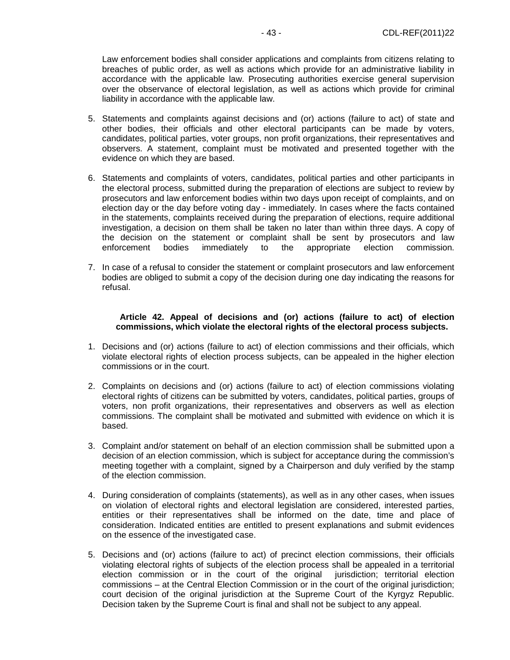Law enforcement bodies shall consider applications and complaints from citizens relating to breaches of public order, as well as actions which provide for an administrative liability in accordance with the applicable law. Prosecuting authorities exercise general supervision over the observance of electoral legislation, as well as actions which provide for criminal liability in accordance with the applicable law.

- 5. Statements and complaints against decisions and (or) actions (failure to act) of state and other bodies, their officials and other electoral participants can be made by voters, candidates, political parties, voter groups, non profit organizations, their representatives and observers. A statement, complaint must be motivated and presented together with the evidence on which they are based.
- 6. Statements and complaints of voters, candidates, political parties and other participants in the electoral process, submitted during the preparation of elections are subject to review by prosecutors and law enforcement bodies within two days upon receipt of complaints, and on election day or the day before voting day - immediately. In cases where the facts contained in the statements, complaints received during the preparation of elections, require additional investigation, a decision on them shall be taken no later than within three days. A copy of the decision on the statement or complaint shall be sent by prosecutors and law enforcement bodies immediately to the appropriate election commission.
- 7. In case of a refusal to consider the statement or complaint prosecutors and law enforcement bodies are obliged to submit a copy of the decision during one day indicating the reasons for refusal.

#### **Article 42. Appeal of decisions and (or) actions (failure to act) of election commissions, which violate the electoral rights of the electoral process subjects.**

- 1. Decisions and (or) actions (failure to act) of election commissions and their officials, which violate electoral rights of election process subjects, can be appealed in the higher election commissions or in the court.
- 2. Complaints on decisions and (or) actions (failure to act) of election commissions violating electoral rights of citizens can be submitted by voters, candidates, political parties, groups of voters, non profit organizations, their representatives and observers as well as election commissions. The complaint shall be motivated and submitted with evidence on which it is based.
- 3. Complaint and/or statement on behalf of an election commission shall be submitted upon a decision of an election commission, which is subject for acceptance during the commission's meeting together with a complaint, signed by a Chairperson and duly verified by the stamp of the election commission.
- 4. During consideration of complaints (statements), as well as in any other cases, when issues on violation of electoral rights and electoral legislation are considered, interested parties, entities or their representatives shall be informed on the date, time and place of consideration. Indicated entities are entitled to present explanations and submit evidences on the essence of the investigated case.
- 5. Decisions and (or) actions (failure to act) of precinct election commissions, their officials violating electoral rights of subjects of the election process shall be appealed in a territorial election commission or in the court of the original jurisdiction; territorial election commissions – at the Central Election Commission or in the court of the original jurisdiction; court decision of the original jurisdiction at the Supreme Court of the Kyrgyz Republic. Decision taken by the Supreme Court is final and shall not be subject to any appeal.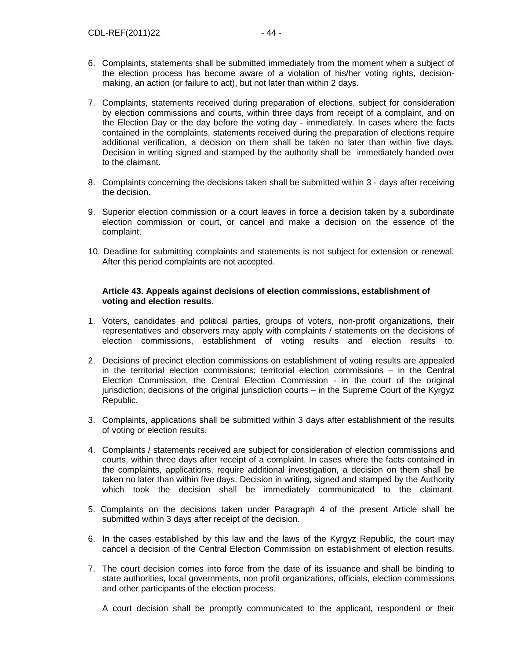- 6. Complaints, statements shall be submitted immediately from the moment when a subject of the election process has become aware of a violation of his/her voting rights, decisionmaking, an action (or failure to act), but not later than within 2 days.
- 7. Complaints, statements received during preparation of elections, subject for consideration by election commissions and courts, within three days from receipt of a complaint, and on the Election Day or the day before the voting day - immediately. In cases where the facts contained in the complaints, statements received during the preparation of elections require additional verification, a decision on them shall be taken no later than within five days. Decision in writing signed and stamped by the authority shall be immediately handed over to the claimant.
- 8. Complaints concerning the decisions taken shall be submitted within 3 days after receiving the decision.
- 9. Superior election commission or a court leaves in force a decision taken by a subordinate election commission or court, or cancel and make a decision on the essence of the complaint.
- 10. Deadline for submitting complaints and statements is not subject for extension or renewal. After this period complaints are not accepted.

## **Article 43. Appeals against decisions of election commissions, establishment of voting and election results**.

- 1. Voters, candidates and political parties, groups of voters, non-profit organizations, their representatives and observers may apply with complaints / statements on the decisions of election commissions, establishment of voting results and election results to.
- 2. Decisions of precinct election commissions on establishment of voting results are appealed in the territorial election commissions; territorial election commissions – in the Central Election Commission, the Central Election Commission - in the court of the original jurisdiction; decisions of the original jurisdiction courts – in the Supreme Court of the Kyrgyz Republic.
- 3. Complaints, applications shall be submitted within 3 days after establishment of the results of voting or election results.
- 4. Complaints / statements received are subject for consideration of election commissions and courts, within three days after receipt of a complaint. In cases where the facts contained in the complaints, applications, require additional investigation, a decision on them shall be taken no later than within five days. Decision in writing, signed and stamped by the Authority which took the decision shall be immediately communicated to the claimant.
- 5. Complaints on the decisions taken under Paragraph 4 of the present Article shall be submitted within 3 days after receipt of the decision.
- 6. In the cases established by this law and the laws of the Kyrgyz Republic, the court may cancel a decision of the Central Election Commission on establishment of election results.
- 7. The court decision comes into force from the date of its issuance and shall be binding to state authorities, local governments, non profit organizations, officials, election commissions and other participants of the election process.

A court decision shall be promptly communicated to the applicant, respondent or their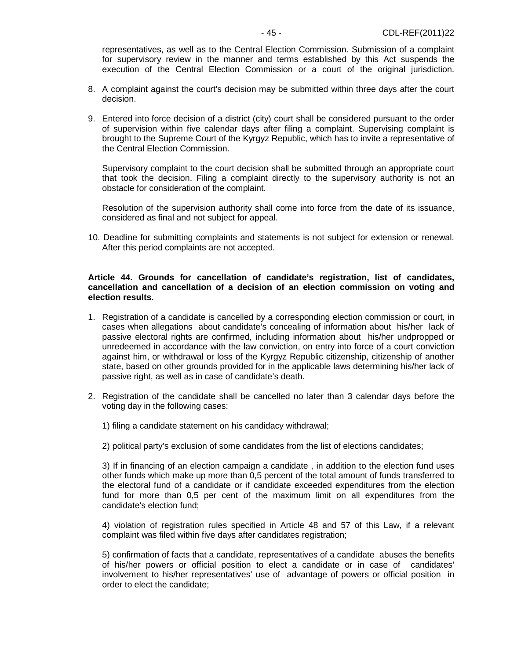representatives, as well as to the Central Election Commission. Submission of a complaint for supervisory review in the manner and terms established by this Act suspends the execution of the Central Election Commission or a court of the original jurisdiction.

- 8. A complaint against the court's decision may be submitted within three days after the court decision.
- 9. Entered into force decision of a district (city) court shall be considered pursuant to the order of supervision within five calendar days after filing a complaint. Supervising complaint is brought to the Supreme Court of the Kyrgyz Republic, which has to invite a representative of the Central Election Commission.

Supervisory complaint to the court decision shall be submitted through an appropriate court that took the decision. Filing a complaint directly to the supervisory authority is not an obstacle for consideration of the complaint.

Resolution of the supervision authority shall come into force from the date of its issuance, considered as final and not subject for appeal.

10. Deadline for submitting complaints and statements is not subject for extension or renewal. After this period complaints are not accepted.

#### **Article 44. Grounds for cancellation of candidate's registration, list of candidates, cancellation and cancellation of a decision of an election commission on voting and election results.**

- 1. Registration of a candidate is cancelled by a corresponding election commission or court, in cases when allegations about candidate's concealing of information about his/her lack of passive electoral rights are confirmed, including information about his/her undpropped or unredeemed in accordance with the law conviction, on entry into force of a court conviction against him, or withdrawal or loss of the Kyrgyz Republic citizenship, citizenship of another state, based on other grounds provided for in the applicable laws determining his/her lack of passive right, as well as in case of candidate's death.
- 2. Registration of the candidate shall be cancelled no later than 3 calendar days before the voting day in the following cases:
	- 1) filing a candidate statement on his candidacy withdrawal;
	- 2) political party's exclusion of some candidates from the list of elections candidates;

3) If in financing of an election campaign a candidate , in addition to the election fund uses other funds which make up more than 0,5 percent of the total amount of funds transferred to the electoral fund of a candidate or if candidate exceeded expenditures from the election fund for more than 0,5 per cent of the maximum limit on all expenditures from the candidate's election fund;

4) violation of registration rules specified in Article 48 and 57 of this Law, if a relevant complaint was filed within five days after candidates registration;

5) confirmation of facts that a candidate, representatives of a candidate abuses the benefits of his/her powers or official position to elect a candidate or in case of candidates' involvement to his/her representatives' use of advantage of powers or official position in order to elect the candidate;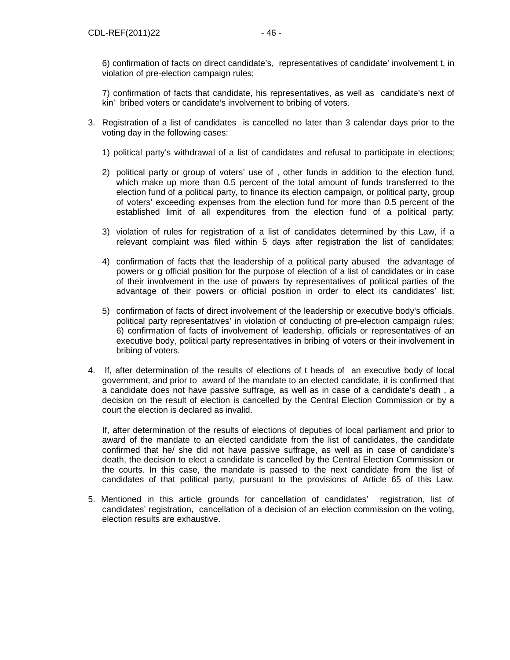6) confirmation of facts on direct candidate's, representatives of candidate' involvement t, in violation of pre-election campaign rules;

7) confirmation of facts that candidate, his representatives, as well as candidate's next of kin' bribed voters or candidate's involvement to bribing of voters.

- 3. Registration of a list of candidates is cancelled no later than 3 calendar days prior to the voting day in the following cases:
	- 1) political party's withdrawal of a list of candidates and refusal to participate in elections;
	- 2) political party or group of voters' use of , other funds in addition to the election fund, which make up more than 0.5 percent of the total amount of funds transferred to the election fund of a political party, to finance its election campaign, or political party, group of voters' exceeding expenses from the election fund for more than 0.5 percent of the established limit of all expenditures from the election fund of a political party;
	- 3) violation of rules for registration of a list of candidates determined by this Law, if a relevant complaint was filed within 5 days after registration the list of candidates;
	- 4) confirmation of facts that the leadership of a political party abused the advantage of powers or g official position for the purpose of election of a list of candidates or in case of their involvement in the use of powers by representatives of political parties of the advantage of their powers or official position in order to elect its candidates' list;
	- 5) confirmation of facts of direct involvement of the leadership or executive body's officials, political party representatives' in violation of conducting of pre-election campaign rules; 6) confirmation of facts of involvement of leadership, officials or representatives of an executive body, political party representatives in bribing of voters or their involvement in bribing of voters.
- 4. If, after determination of the results of elections of t heads of an executive body of local government, and prior to award of the mandate to an elected candidate, it is confirmed that a candidate does not have passive suffrage, as well as in case of a candidate's death , a decision on the result of election is cancelled by the Central Election Commission or by a court the election is declared as invalid.

If, after determination of the results of elections of deputies of local parliament and prior to award of the mandate to an elected candidate from the list of candidates, the candidate confirmed that he/ she did not have passive suffrage, as well as in case of candidate's death, the decision to elect a candidate is cancelled by the Central Election Commission or the courts. In this case, the mandate is passed to the next candidate from the list of candidates of that political party, pursuant to the provisions of Article 65 of this Law.

5. Mentioned in this article grounds for cancellation of candidates' registration, list of candidates' registration, cancellation of a decision of an election commission on the voting, election results are exhaustive.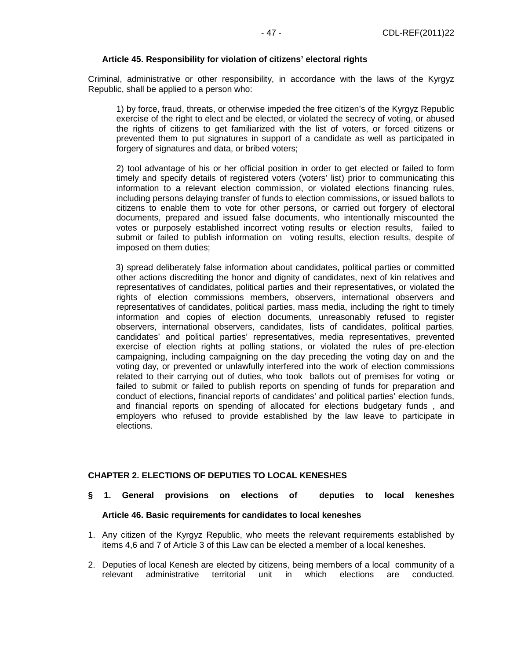## **Article 45. Responsibility for violation of citizens' electoral rights**

Criminal, administrative or other responsibility, in accordance with the laws of the Kyrgyz Republic, shall be applied to a person who:

1) by force, fraud, threats, or otherwise impeded the free citizen's of the Kyrgyz Republic exercise of the right to elect and be elected, or violated the secrecy of voting, or abused the rights of citizens to get familiarized with the list of voters, or forced citizens or prevented them to put signatures in support of a candidate as well as participated in forgery of signatures and data, or bribed voters;

 2) tool advantage of his or her official position in order to get elected or failed to form timely and specify details of registered voters (voters' list) prior to communicating this information to a relevant election commission, or violated elections financing rules, including persons delaying transfer of funds to election commissions, or issued ballots to citizens to enable them to vote for other persons, or carried out forgery of electoral documents, prepared and issued false documents, who intentionally miscounted the votes or purposely established incorrect voting results or election results, failed to submit or failed to publish information on voting results, election results, despite of imposed on them duties;

3) spread deliberately false information about candidates, political parties or committed other actions discrediting the honor and dignity of candidates, next of kin relatives and representatives of candidates, political parties and their representatives, or violated the rights of election commissions members, observers, international observers and representatives of candidates, political parties, mass media, including the right to timely information and copies of election documents, unreasonably refused to register observers, international observers, candidates, lists of candidates, political parties, candidates' and political parties' representatives, media representatives, prevented exercise of election rights at polling stations, or violated the rules of pre-election campaigning, including campaigning on the day preceding the voting day on and the voting day, or prevented or unlawfully interfered into the work of election commissions related to their carrying out of duties, who took ballots out of premises for voting or failed to submit or failed to publish reports on spending of funds for preparation and conduct of elections, financial reports of candidates' and political parties' election funds, and financial reports on spending of allocated for elections budgetary funds , and employers who refused to provide established by the law leave to participate in elections.

## **CHAPTER 2. ELECTIONS OF DEPUTIES TO LOCAL KENESHES**

- **§ 1. General provisions on elections of deputies to local keneshes Article 46. Basic requirements for candidates to local keneshes**
- 1. Any citizen of the Kyrgyz Republic, who meets the relevant requirements established by items 4,6 and 7 of Article 3 of this Law can be elected a member of a local keneshes.
- 2. Deputies of local Kenesh are elected by citizens, being members of a local community of a relevant administrative territorial unit in which elections are conducted.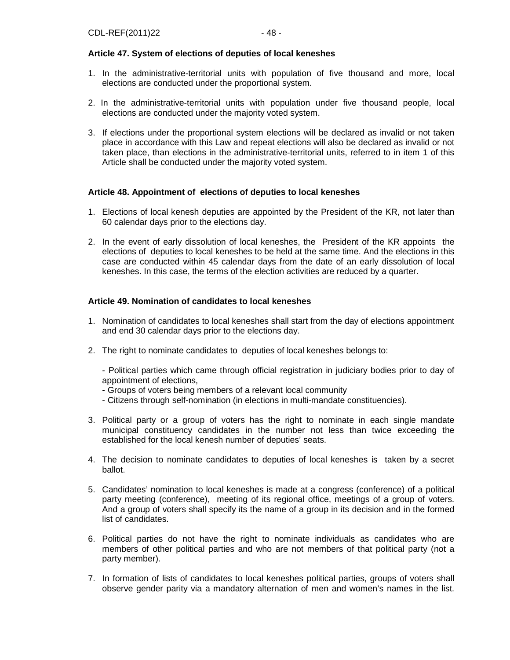## **Article 47. System of elections of deputies of local keneshes**

- 1. In the administrative-territorial units with population of five thousand and more, local elections are conducted under the proportional system.
- 2. In the administrative-territorial units with population under five thousand people, local elections are conducted under the majority voted system.
- 3. If elections under the proportional system elections will be declared as invalid or not taken place in accordance with this Law and repeat elections will also be declared as invalid or not taken place, than elections in the administrative-territorial units, referred to in item 1 of this Article shall be conducted under the majority voted system.

#### **Article 48. Appointment of elections of deputies to local keneshes**

- 1. Elections of local kenesh deputies are appointed by the President of the KR, not later than 60 calendar days prior to the elections day.
- 2. In the event of early dissolution of local keneshes, the President of the KR appoints the elections of deputies to local keneshes to be held at the same time. And the elections in this case are conducted within 45 calendar days from the date of an early dissolution of local keneshes. In this case, the terms of the election activities are reduced by a quarter.

## **Article 49. Nomination of candidates to local keneshes**

- 1. Nomination of candidates to local keneshes shall start from the day of elections appointment and end 30 calendar days prior to the elections day.
- 2. The right to nominate candidates to deputies of local keneshes belongs to:
	- Political parties which came through official registration in judiciary bodies prior to day of appointment of elections,
	- Groups of voters being members of a relevant local community
	- Citizens through self-nomination (in elections in multi-mandate constituencies).
- 3. Political party or a group of voters has the right to nominate in each single mandate municipal constituency candidates in the number not less than twice exceeding the established for the local kenesh number of deputies' seats.
- 4. The decision to nominate candidates to deputies of local keneshes is taken by a secret ballot.
- 5. Candidates' nomination to local keneshes is made at a congress (conference) of a political party meeting (conference), meeting of its regional office, meetings of a group of voters. And a group of voters shall specify its the name of a group in its decision and in the formed list of candidates.
- 6. Political parties do not have the right to nominate individuals as candidates who are members of other political parties and who are not members of that political party (not a party member).
- 7. In formation of lists of candidates to local keneshes political parties, groups of voters shall observe gender parity via a mandatory alternation of men and women's names in the list.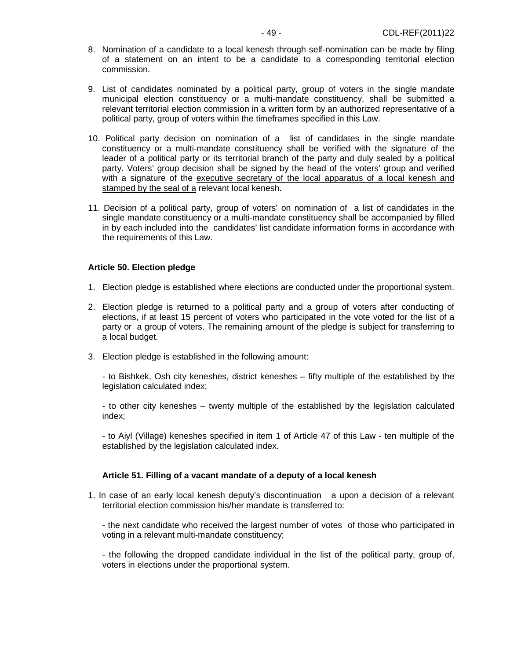- 8. Nomination of a candidate to a local kenesh through self-nomination can be made by filing of a statement on an intent to be a candidate to a corresponding territorial election commission.
- 9. List of candidates nominated by a political party, group of voters in the single mandate municipal election constituency or a multi-mandate constituency, shall be submitted a relevant territorial election commission in a written form by an authorized representative of a political party, group of voters within the timeframes specified in this Law.
- 10. Political party decision on nomination of a list of candidates in the single mandate constituency or a multi-mandate constituency shall be verified with the signature of the leader of a political party or its territorial branch of the party and duly sealed by a political party. Voters' group decision shall be signed by the head of the voters' group and verified with a signature of the executive secretary of the local apparatus of a local kenesh and stamped by the seal of a relevant local kenesh.
- 11. Decision of a political party, group of voters' on nomination of a list of candidates in the single mandate constituency or a multi-mandate constituency shall be accompanied by filled in by each included into the candidates' list candidate information forms in accordance with the requirements of this Law.

#### **Article 50. Election pledge**

- 1. Election pledge is established where elections are conducted under the proportional system.
- 2. Election pledge is returned to a political party and a group of voters after conducting of elections, if at least 15 percent of voters who participated in the vote voted for the list of a party or a group of voters. The remaining amount of the pledge is subject for transferring to a local budget.
- 3. Election pledge is established in the following amount:

- to Bishkek, Osh city keneshes, district keneshes – fifty multiple of the established by the legislation calculated index;

- to other city keneshes – twenty multiple of the established by the legislation calculated index;

- to Aiyl (Village) keneshes specified in item 1 of Article 47 of this Law - ten multiple of the established by the legislation calculated index.

#### **Article 51. Filling of a vacant mandate of a deputy of a local kenesh**

1. In case of an early local kenesh deputy's discontinuation a upon a decision of a relevant territorial election commission his/her mandate is transferred to:

- the next candidate who received the largest number of votes of those who participated in voting in a relevant multi-mandate constituency;

- the following the dropped candidate individual in the list of the political party, group of, voters in elections under the proportional system.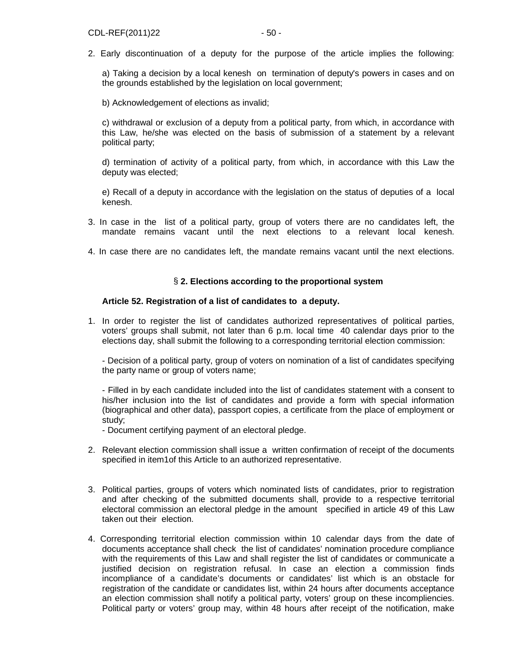2. Early discontinuation of a deputy for the purpose of the article implies the following:

a) Taking a decision by a local kenesh on termination of deputy's powers in cases and on the grounds established by the legislation on local government;

b) Acknowledgement of elections as invalid;

c) withdrawal or exclusion of a deputy from a political party, from which, in accordance with this Law, he/she was elected on the basis of submission of a statement by a relevant political party;

d) termination of activity of a political party, from which, in accordance with this Law the deputy was elected;

e) Recall of a deputy in accordance with the legislation on the status of deputies of a local kenesh.

- 3. In case in the list of a political party, group of voters there are no candidates left, the mandate remains vacant until the next elections to a relevant local kenesh.
- 4. In case there are no candidates left, the mandate remains vacant until the next elections.

#### § **2. Elections according to the proportional system**

#### **Article 52. Registration of a list of candidates to a deputy.**

1. In order to register the list of candidates authorized representatives of political parties, voters' groups shall submit, not later than 6 p.m. local time 40 calendar days prior to the elections day, shall submit the following to a corresponding territorial election commission:

- Decision of a political party, group of voters on nomination of a list of candidates specifying the party name or group of voters name;

- Filled in by each candidate included into the list of candidates statement with a consent to his/her inclusion into the list of candidates and provide a form with special information (biographical and other data), passport copies, a certificate from the place of employment or study;

- Document certifying payment of an electoral pledge.

- 2. Relevant election commission shall issue a written confirmation of receipt of the documents specified in item1of this Article to an authorized representative.
- 3. Political parties, groups of voters which nominated lists of candidates, prior to registration and after checking of the submitted documents shall, provide to a respective territorial electoral commission an electoral pledge in the amount specified in article 49 of this Law taken out their election.
- 4. Corresponding territorial election commission within 10 calendar days from the date of documents acceptance shall check the list of candidates' nomination procedure compliance with the requirements of this Law and shall register the list of candidates or communicate a justified decision on registration refusal. In case an election a commission finds incompliance of a candidate's documents or candidates' list which is an obstacle for registration of the candidate or candidates list, within 24 hours after documents acceptance an election commission shall notify a political party, voters' group on these incompliencies. Political party or voters' group may, within 48 hours after receipt of the notification, make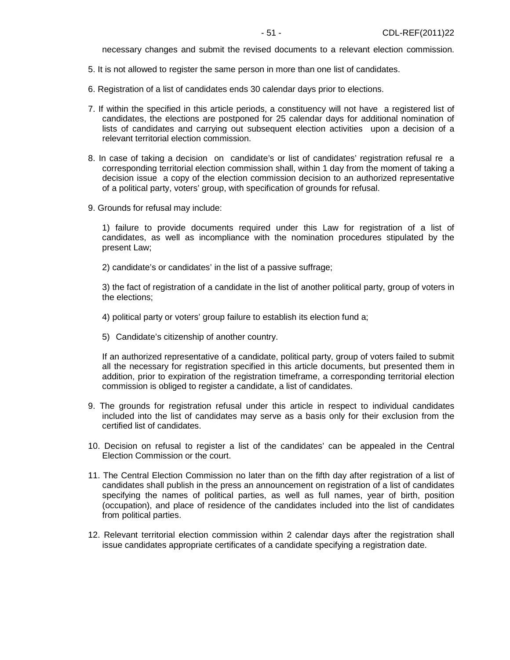necessary changes and submit the revised documents to a relevant election commission.

- 5. It is not allowed to register the same person in more than one list of candidates.
- 6. Registration of a list of candidates ends 30 calendar days prior to elections.
- 7. If within the specified in this article periods, a constituency will not have a registered list of candidates, the elections are postponed for 25 calendar days for additional nomination of lists of candidates and carrying out subsequent election activities upon a decision of a relevant territorial election commission.
- 8. In case of taking a decision on candidate's or list of candidates' registration refusal re a corresponding territorial election commission shall, within 1 day from the moment of taking a decision issue a copy of the election commission decision to an authorized representative of a political party, voters' group, with specification of grounds for refusal.
- 9. Grounds for refusal may include:

1) failure to provide documents required under this Law for registration of a list of candidates, as well as incompliance with the nomination procedures stipulated by the present Law;

2) candidate's or candidates' in the list of a passive suffrage;

3) the fact of registration of a candidate in the list of another political party, group of voters in the elections;

- 4) political party or voters' group failure to establish its election fund a;
- 5) Candidate's citizenship of another country.

If an authorized representative of a candidate, political party, group of voters failed to submit all the necessary for registration specified in this article documents, but presented them in addition, prior to expiration of the registration timeframe, a corresponding territorial election commission is obliged to register a candidate, a list of candidates.

- 9. The grounds for registration refusal under this article in respect to individual candidates included into the list of candidates may serve as a basis only for their exclusion from the certified list of candidates.
- 10. Decision on refusal to register a list of the candidates' can be appealed in the Central Election Commission or the court.
- 11. The Central Election Commission no later than on the fifth day after registration of a list of candidates shall publish in the press an announcement on registration of a list of candidates specifying the names of political parties, as well as full names, year of birth, position (occupation), and place of residence of the candidates included into the list of candidates from political parties.
- 12. Relevant territorial election commission within 2 calendar days after the registration shall issue candidates appropriate certificates of a candidate specifying a registration date.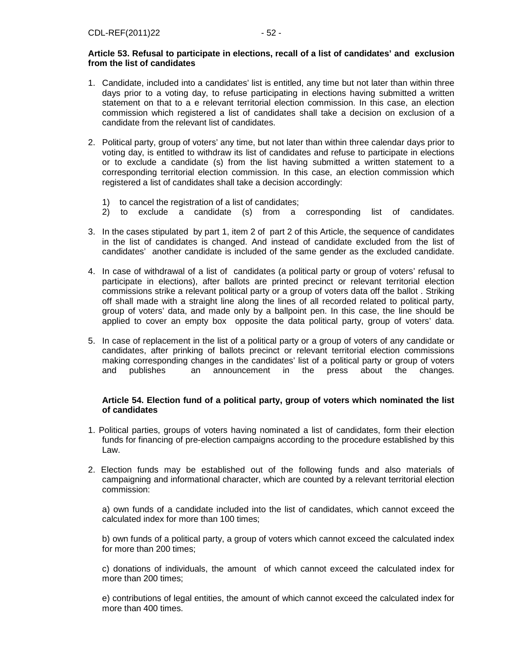## **Article 53. Refusal to participate in elections, recall of a list of candidates' and exclusion from the list of candidates**

- 1. Candidate, included into a candidates' list is entitled, any time but not later than within three days prior to a voting day, to refuse participating in elections having submitted a written statement on that to a e relevant territorial election commission. In this case, an election commission which registered a list of candidates shall take a decision on exclusion of a candidate from the relevant list of candidates.
- 2. Political party, group of voters' any time, but not later than within three calendar days prior to voting day, is entitled to withdraw its list of candidates and refuse to participate in elections or to exclude a candidate (s) from the list having submitted a written statement to a corresponding territorial election commission. In this case, an election commission which registered a list of candidates shall take a decision accordingly:
	- 1) to cancel the registration of a list of candidates;
	- 2) to exclude a candidate (s) from a corresponding list of candidates.
- 3. In the cases stipulated by part 1, item 2 of part 2 of this Article, the sequence of candidates in the list of candidates is changed. And instead of candidate excluded from the list of candidates' another candidate is included of the same gender as the excluded candidate.
- 4. In case of withdrawal of a list of candidates (a political party or group of voters' refusal to participate in elections), after ballots are printed precinct or relevant territorial election commissions strike a relevant political party or a group of voters data off the ballot . Striking off shall made with a straight line along the lines of all recorded related to political party, group of voters' data, and made only by a ballpoint pen. In this case, the line should be applied to cover an empty box opposite the data political party, group of voters' data.
- 5. In case of replacement in the list of a political party or a group of voters of any candidate or candidates, after prinking of ballots precinct or relevant territorial election commissions making corresponding changes in the candidates' list of a political party or group of voters and publishes an announcement in the press about the changes.

#### **Article 54. Election fund of a political party, group of voters which nominated the list of candidates**

- 1. Political parties, groups of voters having nominated a list of candidates, form their election funds for financing of pre-election campaigns according to the procedure established by this Law.
- 2. Election funds may be established out of the following funds and also materials of campaigning and informational character, which are counted by a relevant territorial election commission:

a) own funds of a candidate included into the list of candidates, which cannot exceed the calculated index for more than 100 times;

b) own funds of a political party, a group of voters which cannot exceed the calculated index for more than 200 times;

c) donations of individuals, the amount of which cannot exceed the calculated index for more than 200 times;

e) contributions of legal entities, the amount of which cannot exceed the calculated index for more than 400 times.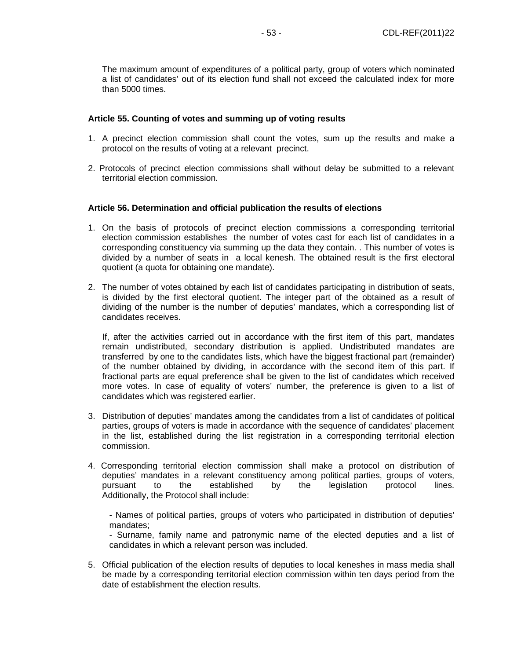The maximum amount of expenditures of a political party, group of voters which nominated a list of candidates' out of its election fund shall not exceed the calculated index for more than 5000 times.

#### **Article 55. Counting of votes and summing up of voting results**

- 1. A precinct election commission shall count the votes, sum up the results and make a protocol on the results of voting at a relevant precinct.
- 2. Protocols of precinct election commissions shall without delay be submitted to a relevant territorial election commission.

#### **Article 56. Determination and official publication the results of elections**

- 1. On the basis of protocols of precinct election commissions a corresponding territorial election commission establishes the number of votes cast for each list of candidates in a corresponding constituency via summing up the data they contain. . This number of votes is divided by a number of seats in a local kenesh. The obtained result is the first electoral quotient (a quota for obtaining one mandate).
- 2. The number of votes obtained by each list of candidates participating in distribution of seats, is divided by the first electoral quotient. The integer part of the obtained as a result of dividing of the number is the number of deputies' mandates, which a corresponding list of candidates receives.

If, after the activities carried out in accordance with the first item of this part, mandates remain undistributed, secondary distribution is applied. Undistributed mandates are transferred by one to the candidates lists, which have the biggest fractional part (remainder) of the number obtained by dividing, in accordance with the second item of this part. If fractional parts are equal preference shall be given to the list of candidates which received more votes. In case of equality of voters' number, the preference is given to a list of candidates which was registered earlier.

- 3. Distribution of deputies' mandates among the candidates from a list of candidates of political parties, groups of voters is made in accordance with the sequence of candidates' placement in the list, established during the list registration in a corresponding territorial election commission.
- 4. Corresponding territorial election commission shall make a protocol on distribution of deputies' mandates in a relevant constituency among political parties, groups of voters, pursuant to the established by the legislation protocol lines. Additionally, the Protocol shall include:

- Names of political parties, groups of voters who participated in distribution of deputies' mandates;

- Surname, family name and patronymic name of the elected deputies and a list of candidates in which a relevant person was included.

5. Official publication of the election results of deputies to local keneshes in mass media shall be made by a corresponding territorial election commission within ten days period from the date of establishment the election results.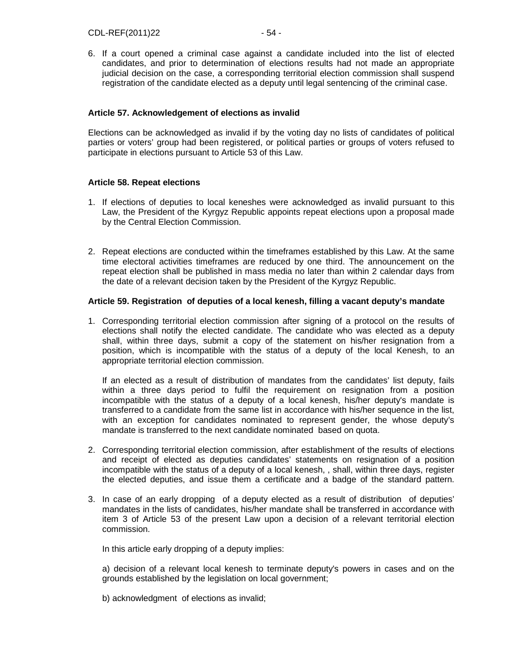6. If a court opened a criminal case against a candidate included into the list of elected candidates, and prior to determination of elections results had not made an appropriate judicial decision on the case, a corresponding territorial election commission shall suspend registration of the candidate elected as a deputy until legal sentencing of the criminal case.

## **Article 57. Acknowledgement of elections as invalid**

Elections can be acknowledged as invalid if by the voting day no lists of candidates of political parties or voters' group had been registered, or political parties or groups of voters refused to participate in elections pursuant to Article 53 of this Law.

## **Article 58. Repeat elections**

- 1. If elections of deputies to local keneshes were acknowledged as invalid pursuant to this Law, the President of the Kyrgyz Republic appoints repeat elections upon a proposal made by the Central Election Commission.
- 2. Repeat elections are conducted within the timeframes established by this Law. At the same time electoral activities timeframes are reduced by one third. The announcement on the repeat election shall be published in mass media no later than within 2 calendar days from the date of a relevant decision taken by the President of the Kyrgyz Republic.

#### **Article 59. Registration of deputies of a local kenesh, filling a vacant deputy's mandate**

1. Corresponding territorial election commission after signing of a protocol on the results of elections shall notify the elected candidate. The candidate who was elected as a deputy shall, within three days, submit a copy of the statement on his/her resignation from a position, which is incompatible with the status of a deputy of the local Kenesh, to an appropriate territorial election commission.

If an elected as a result of distribution of mandates from the candidates' list deputy, fails within a three days period to fulfil the requirement on resignation from a position incompatible with the status of a deputy of a local kenesh, his/her deputy's mandate is transferred to a candidate from the same list in accordance with his/her sequence in the list, with an exception for candidates nominated to represent gender, the whose deputy's mandate is transferred to the next candidate nominated based on quota.

- 2. Corresponding territorial election commission, after establishment of the results of elections and receipt of elected as deputies candidates' statements on resignation of a position incompatible with the status of a deputy of a local kenesh, , shall, within three days, register the elected deputies, and issue them a certificate and a badge of the standard pattern.
- 3. In case of an early dropping of a deputy elected as a result of distribution of deputies' mandates in the lists of candidates, his/her mandate shall be transferred in accordance with item 3 of Article 53 of the present Law upon a decision of a relevant territorial election commission.

In this article early dropping of a deputy implies:

a) decision of a relevant local kenesh to terminate deputy's powers in cases and on the grounds established by the legislation on local government;

b) acknowledgment of elections as invalid;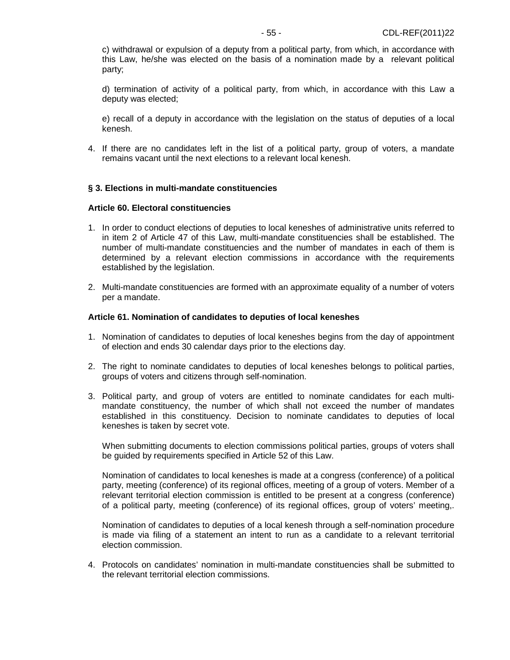c) withdrawal or expulsion of a deputy from a political party, from which, in accordance with this Law, he/she was elected on the basis of a nomination made by a relevant political party;

d) termination of activity of a political party, from which, in accordance with this Law a deputy was elected;

e) recall of a deputy in accordance with the legislation on the status of deputies of a local kenesh.

4. If there are no candidates left in the list of a political party, group of voters, a mandate remains vacant until the next elections to a relevant local kenesh.

## **§ 3. Elections in multi-mandate constituencies**

#### **Article 60. Electoral constituencies**

- 1. In order to conduct elections of deputies to local keneshes of administrative units referred to in item 2 of Article 47 of this Law, multi-mandate constituencies shall be established. The number of multi-mandate constituencies and the number of mandates in each of them is determined by a relevant election commissions in accordance with the requirements established by the legislation.
- 2. Multi-mandate constituencies are formed with an approximate equality of a number of voters per a mandate.

#### **Article 61. Nomination of candidates to deputies of local keneshes**

- 1. Nomination of candidates to deputies of local keneshes begins from the day of appointment of election and ends 30 calendar days prior to the elections day.
- 2. The right to nominate candidates to deputies of local keneshes belongs to political parties, groups of voters and citizens through self-nomination.
- 3. Political party, and group of voters are entitled to nominate candidates for each multimandate constituency, the number of which shall not exceed the number of mandates established in this constituency. Decision to nominate candidates to deputies of local keneshes is taken by secret vote.

When submitting documents to election commissions political parties, groups of voters shall be guided by requirements specified in Article 52 of this Law.

Nomination of candidates to local keneshes is made at a congress (conference) of a political party, meeting (conference) of its regional offices, meeting of a group of voters. Member of a relevant territorial election commission is entitled to be present at a congress (conference) of a political party, meeting (conference) of its regional offices, group of voters' meeting,.

Nomination of candidates to deputies of a local kenesh through a self-nomination procedure is made via filing of a statement an intent to run as a candidate to a relevant territorial election commission.

4. Protocols on candidates' nomination in multi-mandate constituencies shall be submitted to the relevant territorial election commissions.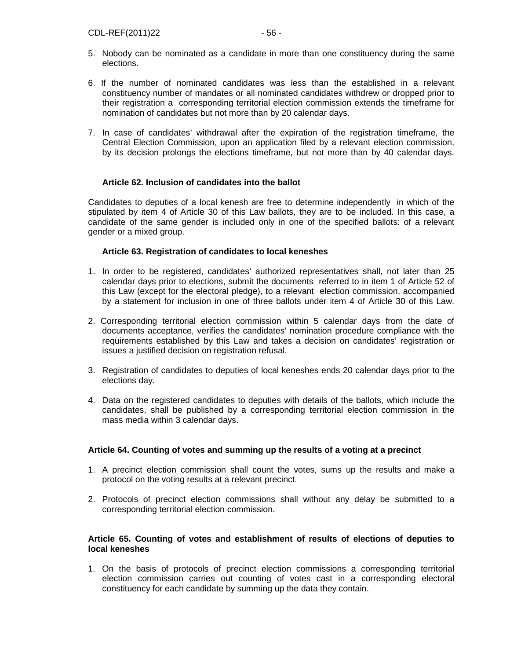- 5. Nobody can be nominated as a candidate in more than one constituency during the same elections.
- 6. If the number of nominated candidates was less than the established in a relevant constituency number of mandates or all nominated candidates withdrew or dropped prior to their registration a corresponding territorial election commission extends the timeframe for nomination of candidates but not more than by 20 calendar days.
- 7. In case of candidates' withdrawal after the expiration of the registration timeframe, the Central Election Commission, upon an application filed by a relevant election commission, by its decision prolongs the elections timeframe, but not more than by 40 calendar days.

## **Article 62. Inclusion of candidates into the ballot**

Candidates to deputies of a local kenesh are free to determine independently in which of the stipulated by item 4 of Article 30 of this Law ballots, they are to be included. In this case, a candidate of the same gender is included only in one of the specified ballots: of a relevant gender or a mixed group.

#### **Article 63. Registration of candidates to local keneshes**

- 1. In order to be registered, candidates' authorized representatives shall, not later than 25 calendar days prior to elections, submit the documents referred to in item 1 of Article 52 of this Law (except for the electoral pledge), to a relevant election commission, accompanied by a statement for inclusion in one of three ballots under item 4 of Article 30 of this Law.
- 2. Corresponding territorial election commission within 5 calendar days from the date of documents acceptance, verifies the candidates' nomination procedure compliance with the requirements established by this Law and takes a decision on candidates' registration or issues a justified decision on registration refusal.
- 3. Registration of candidates to deputies of local keneshes ends 20 calendar days prior to the elections day.
- 4. Data on the registered candidates to deputies with details of the ballots, which include the candidates, shall be published by a corresponding territorial election commission in the mass media within 3 calendar days.

## **Article 64. Counting of votes and summing up the results of a voting at a precinct**

- 1. A precinct election commission shall count the votes, sums up the results and make a protocol on the voting results at a relevant precinct.
- 2. Protocols of precinct election commissions shall without any delay be submitted to a corresponding territorial election commission.

## **Article 65. Counting of votes and establishment of results of elections of deputies to local keneshes**

1. On the basis of protocols of precinct election commissions a corresponding territorial election commission carries out counting of votes cast in a corresponding electoral constituency for each candidate by summing up the data they contain.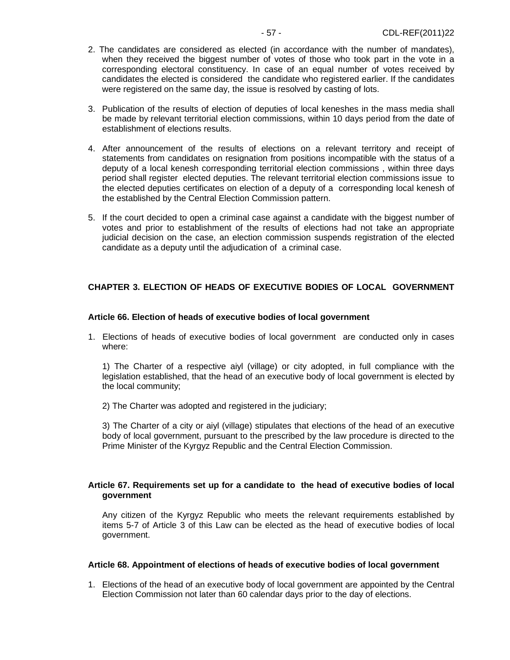- 2. The candidates are considered as elected (in accordance with the number of mandates), when they received the biggest number of votes of those who took part in the vote in a corresponding electoral constituency. In case of an equal number of votes received by candidates the elected is considered the candidate who registered earlier. If the candidates were registered on the same day, the issue is resolved by casting of lots.
- 3. Publication of the results of election of deputies of local keneshes in the mass media shall be made by relevant territorial election commissions, within 10 days period from the date of establishment of elections results.
- 4. After announcement of the results of elections on a relevant territory and receipt of statements from candidates on resignation from positions incompatible with the status of a deputy of a local kenesh corresponding territorial election commissions , within three days period shall register elected deputies. The relevant territorial election commissions issue to the elected deputies certificates on election of a deputy of a corresponding local kenesh of the established by the Central Election Commission pattern.
- 5. If the court decided to open a criminal case against a candidate with the biggest number of votes and prior to establishment of the results of elections had not take an appropriate judicial decision on the case, an election commission suspends registration of the elected candidate as a deputy until the adjudication of a criminal case.

## **CHAPTER 3. ELECTION OF HEADS OF EXECUTIVE BODIES OF LOCAL GOVERNMENT**

#### **Article 66. Election of heads of executive bodies of local government**

1. Elections of heads of executive bodies of local government are conducted only in cases where:

1) The Charter of a respective aiyl (village) or city adopted, in full compliance with the legislation established, that the head of an executive body of local government is elected by the local community;

2) The Charter was adopted and registered in the judiciary;

3) The Charter of a city or aiyl (village) stipulates that elections of the head of an executive body of local government, pursuant to the prescribed by the law procedure is directed to the Prime Minister of the Kyrgyz Republic and the Central Election Commission.

## **Article 67. Requirements set up for a candidate to the head of executive bodies of local government**

Any citizen of the Kyrgyz Republic who meets the relevant requirements established by items 5-7 of Article 3 of this Law can be elected as the head of executive bodies of local government.

#### **Article 68. Appointment of elections of heads of executive bodies of local government**

1. Elections of the head of an executive body of local government are appointed by the Central Election Commission not later than 60 calendar days prior to the day of elections.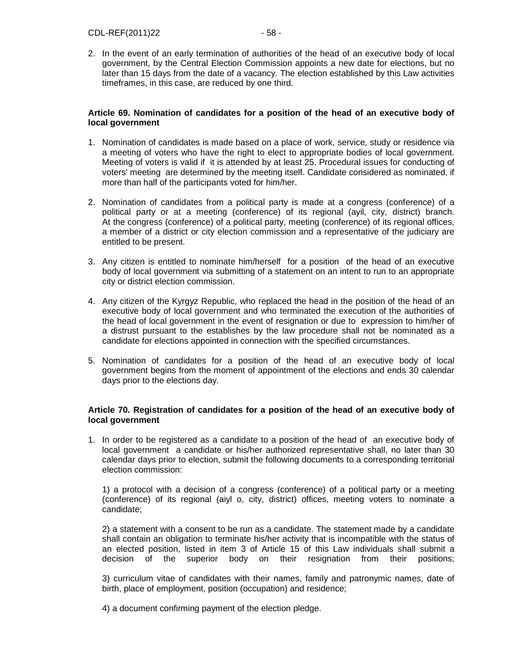2. In the event of an early termination of authorities of the head of an executive body of local government, by the Central Election Commission appoints a new date for elections, but no later than 15 days from the date of a vacancy. The election established by this Law activities timeframes, in this case, are reduced by one third.

## **Article 69. Nomination of candidates for a position of the head of an executive body of local government**

- 1. Nomination of candidates is made based on a place of work, service, study or residence via a meeting of voters who have the right to elect to appropriate bodies of local government. Meeting of voters is valid if it is attended by at least 25. Procedural issues for conducting of voters' meeting are determined by the meeting itself. Candidate considered as nominated, if more than half of the participants voted for him/her.
- 2. Nomination of candidates from a political party is made at a congress (conference) of a political party or at a meeting (conference) of its regional (ayil, city, district) branch. At the congress (conference) of a political party, meeting (conference) of its regional offices, a member of a district or city election commission and a representative of the judiciary are entitled to be present.
- 3. Any citizen is entitled to nominate him/herself for a position of the head of an executive body of local government via submitting of a statement on an intent to run to an appropriate city or district election commission.
- 4. Any citizen of the Kyrgyz Republic, who replaced the head in the position of the head of an executive body of local government and who terminated the execution of the authorities of the head of local government in the event of resignation or due to expression to him/her of a distrust pursuant to the establishes by the law procedure shall not be nominated as a candidate for elections appointed in connection with the specified circumstances.
- 5. Nomination of candidates for a position of the head of an executive body of local government begins from the moment of appointment of the elections and ends 30 calendar days prior to the elections day.

#### **Article 70. Registration of candidates for a position of the head of an executive body of local government**

1. In order to be registered as a candidate to a position of the head of an executive body of local government a candidate or his/her authorized representative shall, no later than 30 calendar days prior to election, submit the following documents to a corresponding territorial election commission:

1) a protocol with a decision of a congress (conference) of a political party or a meeting (conference) of its regional (aiyl o, city, district) offices, meeting voters to nominate a candidate;

2) a statement with a consent to be run as a candidate. The statement made by a candidate shall contain an obligation to terminate his/her activity that is incompatible with the status of an elected position, listed in item 3 of Article 15 of this Law individuals shall submit a decision of the superior body on their resignation from their positions;

3) curriculum vitae of candidates with their names, family and patronymic names, date of birth, place of employment, position (occupation) and residence;

4) a document confirming payment of the election pledge.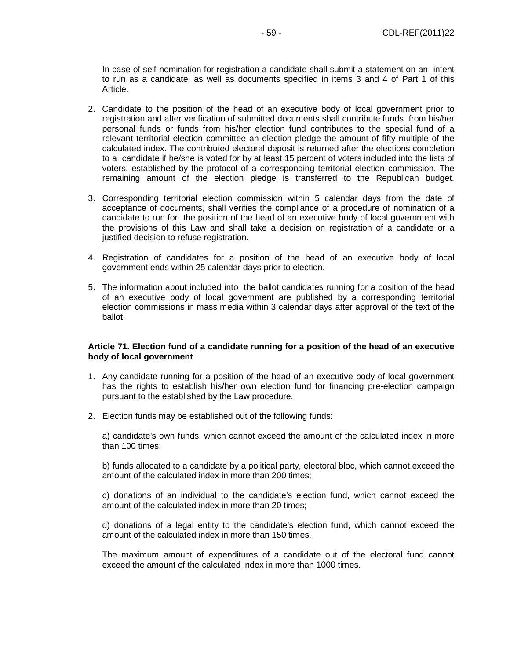In case of self-nomination for registration a candidate shall submit a statement on an intent to run as a candidate, as well as documents specified in items 3 and 4 of Part 1 of this Article.

- 2. Candidate to the position of the head of an executive body of local government prior to registration and after verification of submitted documents shall contribute funds from his/her personal funds or funds from his/her election fund contributes to the special fund of a relevant territorial election committee an election pledge the amount of fifty multiple of the calculated index. The contributed electoral deposit is returned after the elections completion to a candidate if he/she is voted for by at least 15 percent of voters included into the lists of voters, established by the protocol of a corresponding territorial election commission. The remaining amount of the election pledge is transferred to the Republican budget.
- 3. Corresponding territorial election commission within 5 calendar days from the date of acceptance of documents, shall verifies the compliance of a procedure of nomination of a candidate to run for the position of the head of an executive body of local government with the provisions of this Law and shall take a decision on registration of a candidate or a justified decision to refuse registration.
- 4. Registration of candidates for a position of the head of an executive body of local government ends within 25 calendar days prior to election.
- 5. The information about included into the ballot candidates running for a position of the head of an executive body of local government are published by a corresponding territorial election commissions in mass media within 3 calendar days after approval of the text of the ballot.

#### **Article 71. Election fund of a candidate running for a position of the head of an executive body of local government**

- 1. Any candidate running for a position of the head of an executive body of local government has the rights to establish his/her own election fund for financing pre-election campaign pursuant to the established by the Law procedure.
- 2. Election funds may be established out of the following funds:

a) candidate's own funds, which cannot exceed the amount of the calculated index in more than 100 times;

b) funds allocated to a candidate by a political party, electoral bloc, which cannot exceed the amount of the calculated index in more than 200 times;

c) donations of an individual to the candidate's election fund, which cannot exceed the amount of the calculated index in more than 20 times;

d) donations of a legal entity to the candidate's election fund, which cannot exceed the amount of the calculated index in more than 150 times.

The maximum amount of expenditures of a candidate out of the electoral fund cannot exceed the amount of the calculated index in more than 1000 times.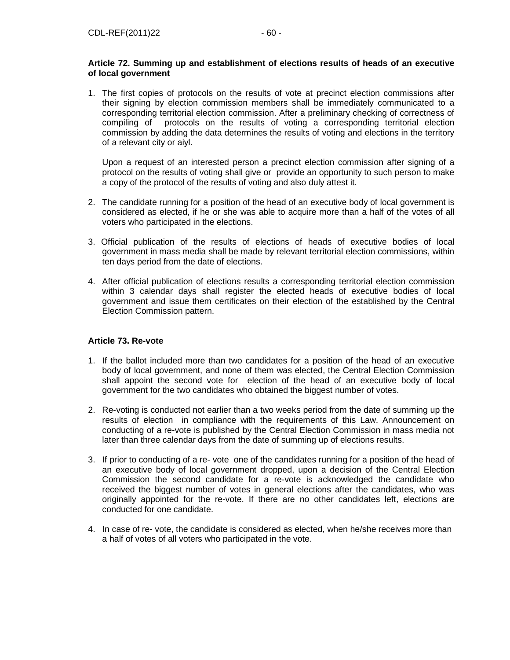## **Article 72. Summing up and establishment of elections results of heads of an executive of local government**

1. The first copies of protocols on the results of vote at precinct election commissions after their signing by election commission members shall be immediately communicated to a corresponding territorial election commission. After a preliminary checking of correctness of compiling of protocols on the results of voting a corresponding territorial election commission by adding the data determines the results of voting and elections in the territory of a relevant city or aiyl.

Upon a request of an interested person a precinct election commission after signing of a protocol on the results of voting shall give or provide an opportunity to such person to make a copy of the protocol of the results of voting and also duly attest it.

- 2. The candidate running for a position of the head of an executive body of local government is considered as elected, if he or she was able to acquire more than a half of the votes of all voters who participated in the elections.
- 3. Official publication of the results of elections of heads of executive bodies of local government in mass media shall be made by relevant territorial election commissions, within ten days period from the date of elections.
- 4. After official publication of elections results a corresponding territorial election commission within 3 calendar days shall register the elected heads of executive bodies of local government and issue them certificates on their election of the established by the Central Election Commission pattern.

## **Article 73. Re-vote**

- 1. If the ballot included more than two candidates for a position of the head of an executive body of local government, and none of them was elected, the Central Election Commission shall appoint the second vote for election of the head of an executive body of local government for the two candidates who obtained the biggest number of votes.
- 2. Re-voting is conducted not earlier than a two weeks period from the date of summing up the results of election in compliance with the requirements of this Law. Announcement on conducting of a re-vote is published by the Central Election Commission in mass media not later than three calendar days from the date of summing up of elections results.
- 3. If prior to conducting of a re- vote one of the candidates running for a position of the head of an executive body of local government dropped, upon a decision of the Central Election Commission the second candidate for a re-vote is acknowledged the candidate who received the biggest number of votes in general elections after the candidates, who was originally appointed for the re-vote. If there are no other candidates left, elections are conducted for one candidate.
- 4. In case of re- vote, the candidate is considered as elected, when he/she receives more than a half of votes of all voters who participated in the vote.